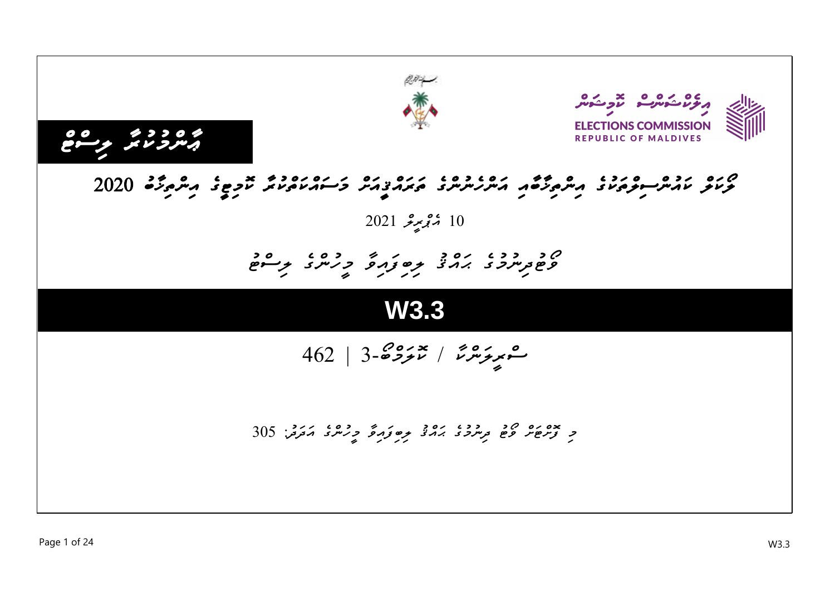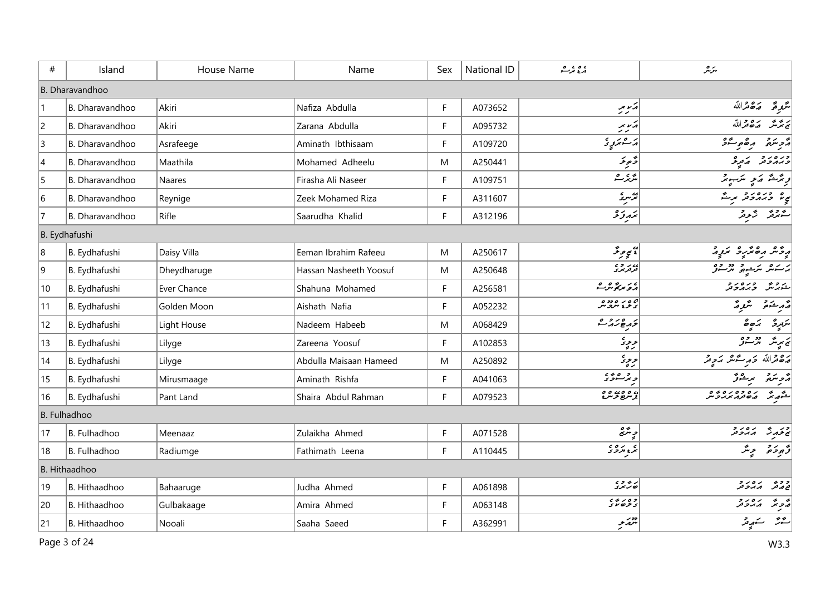| #              | Island          | House Name    | Name                   | Sex | National ID | ېره پر شه                        | ىئرىتر                                         |
|----------------|-----------------|---------------|------------------------|-----|-------------|----------------------------------|------------------------------------------------|
|                | B. Dharavandhoo |               |                        |     |             |                                  |                                                |
|                | B. Dharavandhoo | Akiri         | Nafiza Abdulla         | F   | A073652     | وسماعه                           | شَعَرِيحٌ صَصْحَدْاللّه                        |
| $\overline{2}$ | B. Dharavandhoo | Akiri         | Zarana Abdulla         | F   | A095732     | مزبوسر                           | تج تَمَتَّرَ ضَصَّرَاللَّهُ                    |
| 3              | B. Dharavandhoo | Asrafeege     | Aminath Ibthisaam      | F   | A109720     | ر 2 سى <i>مۇ</i> رى<br>م         |                                                |
| $\overline{4}$ | B. Dharavandhoo | Maathila      | Mohamed Adheelu        | M   | A250441     | ۇ بۇ ئى                          |                                                |
| 5              | B. Dharavandhoo | <b>Naares</b> | Firasha Ali Naseer     | F   | A109751     | پرې ه<br>مربر شر                 | وبرث كامي للرسوم                               |
| 6              | B. Dharavandhoo | Reynige       | Zeek Mohamed Riza      | F   | A311607     | عرسويح                           |                                                |
|                | B. Dharavandhoo | Rifle         | Saarudha Khalid        | F   | A312196     | بروزعه                           | الشريرة المجمورة                               |
|                | B. Eydhafushi   |               |                        |     |             |                                  |                                                |
| 8              | B. Eydhafushi   | Daisy Villa   | Eeman Ibrahim Rafeeu   | M   | A250617     | ۽ سچ حرقحہ                       | ړو شه ره ټر و غږ د                             |
| 9              | B. Eydhafushi   | Dheydharuge   | Hassan Nasheeth Yoosuf | M   | A250648     | ی پر و پ<br>توتوبوی              | بر کے مگر سر کے مقرر دور<br>مرکز مگر شہری مرکز |
| 10             | B. Eydhafushi   | Ever Chance   | Shahuna Mohamed        | F   | A256581     | ە بەر بۇ ھ <sub>ە</sub> ھ        | أحدثه وره رو                                   |
| 11             | B. Eydhafushi   | Golden Moon   | Aishath Nafia          | F   | A052232     | ہ ور ودد و<br>تح <b>ری</b> سرچ س | أمام شام فللمستعرفة                            |
| 12             | B. Eydhafushi   | Light House   | Nadeem Habeeb          | M   | A068429     | 2720                             | لترترد كالحامي                                 |
| 13             | B. Eydhafushi   | Lilyge        | Zareena Yoosuf         | F   | A102853     | موموتى<br>مرىچە                  | ىم پرېتر پر چېرو                               |
| 14             | B. Eydhafushi   | Lilyge        | Abdulla Maisaan Hameed | M   | A250892     | مومودگا<br>مربو                  | رەۋاللە خەرگەر ئەدەر<br>مەھەراللە خەرگەر       |
| 15             | B. Eydhafushi   | Mirusmaage    | Aminath Rishfa         | F   | A041063     | ج بر شوی                         |                                                |
| 16             | B. Eydhafushi   | Pant Land     | Shaira Abdul Rahman    | F.  | A079523     | ر، ه ور، ه ه<br>بوسرچ پوسو       | د در ده ده ده ده و م                           |
|                | B. Fulhadhoo    |               |                        |     |             |                                  |                                                |
| 17             | B. Fulhadhoo    | Meenaaz       | Zulaikha Ahmed         | F   | A071528     | جەنتى                            | ة <i>كمرة مددة.</i>                            |
| 18             | B. Fulhadhoo    | Radiumge      | Fathimath Leena        | F   | A110445     | ې به دره ،<br>مربو در            | ۇ <sub>ج</sub> وڭجۇ مېتر                       |
|                | B. Hithaadhoo   |               |                        |     |             |                                  |                                                |
| 19             | B. Hithaadhoo   | Bahaaruge     | Judha Ahmed            | F   | A061898     | ر پر و ،<br>ن <i>ه ر</i> گرۍ     | و و ده در در د<br>ایم پرتر کم کردگر            |
| 20             | B. Hithaadhoo   | Gulbakaage    | Amira Ahmed            | F   | A063148     | وه ر پر پر<br><b>ی نژ</b> ه تو ت | و په دره دره کرد                               |
| 21             | B. Hithaadhoo   | Nooali        | Saaha Saeed            | F   | A362991     | يتمدّمر                          | الشرش استهدش                                   |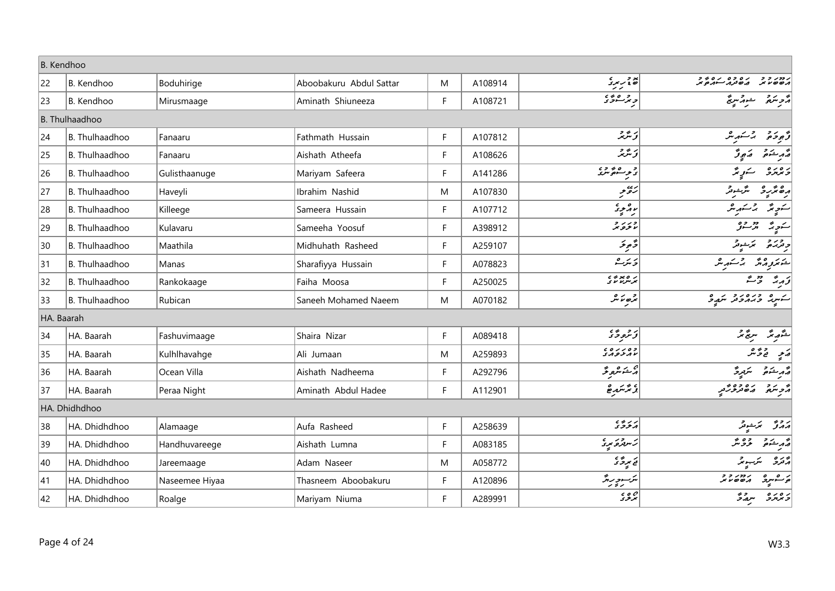|    | B. Kendhoo     |                |                         |             |         |                                  |                                                                                                                                          |
|----|----------------|----------------|-------------------------|-------------|---------|----------------------------------|------------------------------------------------------------------------------------------------------------------------------------------|
| 22 | B. Kendhoo     | Boduhirige     | Aboobakuru Abdul Sattar | M           | A108914 | لا د م<br>  خه د سرد             | נדמי כ כ נספס נספי<br>גםסטיני גם <i>נג</i> ם <del>י</del> ונים נ                                                                         |
| 23 | B. Kendhoo     | Mirusmaage     | Aminath Shiuneeza       | F           | A108721 | و بر ۵ ۶ <sup>ء</sup><br>و بوسوي | أزويترة سورميرة                                                                                                                          |
|    | B. Thulhaadhoo |                |                         |             |         |                                  |                                                                                                                                          |
| 24 | B. Thulhaadhoo | Fanaaru        | Fathmath Hussain        | $\mathsf F$ | A107812 | ر پر د                           | قرموقر بالتنظير                                                                                                                          |
| 25 | B. Thulhaadhoo | Fanaaru        | Aishath Atheefa         | F           | A108626 | ر پر د                           | مەر شىم مە                                                                                                                               |
| 26 | B. Thulhaadhoo | Gulisthaanuge  | Mariyam Safeera         | F.          | A141286 | د په ده وره<br>د پوسوه مرد       | دەرە سەرتە                                                                                                                               |
| 27 | B. Thulhaadhoo | Haveyli        | Ibrahim Nashid          | M           | A107830 | ريمو                             | أرەنۇر ئەس ئۇ                                                                                                                            |
| 28 | B. Thulhaadhoo | Killeege       | Sameera Hussain         | F.          | A107712 | ىدە ھەجە                         | سكوبة المرسكر                                                                                                                            |
| 29 | B. Thulhaadhoo | Kulavaru       | Sameeha Yoosuf          | F.          | A398912 | د ر ر<br>را نوع مر               |                                                                                                                                          |
| 30 | B. Thulhaadhoo | Maathila       | Midhuhath Rasheed       | F.          | A259107 | ۇ يۇ                             | حوريرة سيسوشر                                                                                                                            |
| 31 | B. Thulhaadhoo | <b>Manas</b>   | Sharafiyya Hussain      | F.          | A078823 | ىر ئەر م                         | ے مورود کے محمد میں<br>استعمر ورد کے محمد میں<br>اور محمد اللہ محمد میں محمد میں محمد میں محمد اللہ محمد محمد اللہ محمد اللہ محمد اللہ م |
| 32 | B. Thulhaadhoo | Rankokaage     | Faiha Moosa             | F           | A250025 | ر ٥ پر دي<br>پرس پا کال          |                                                                                                                                          |
| 33 | B. Thulhaadhoo | Rubican        | Saneeh Mohamed Naeem    | M           | A070182 | برّە ئەنگە                       | سُرِيد ورود و سَمِيدة                                                                                                                    |
|    | HA. Baarah     |                |                         |             |         |                                  |                                                                                                                                          |
| 34 | HA. Baarah     | Fashuvimaage   | Shaira Nizar            | F.          | A089418 | ۇ ئرەپ مى                        | ڪ پر پڙ<br>ا<br>سرچ تر                                                                                                                   |
| 35 | HA. Baarah     | Kulhlhavahge   | Ali Jumaan              | M           | A259893 | وه ر ر ه ،<br>ماړ نوار د         | $252 - 27$                                                                                                                               |
| 36 | HA. Baarah     | Ocean Villa    | Aishath Nadheema        | E           | A292796 | ە ئەيئەمىرى <i>مۇ</i>            |                                                                                                                                          |
| 37 | HA. Baarah     | Peraa Night    | Aminath Abdul Hadee     | F.          | A112901 | ې تر سره ه<br>بر سره ه           | أثر برو بره وه محر                                                                                                                       |
|    | HA. Dhidhdhoo  |                |                         |             |         |                                  |                                                                                                                                          |
| 38 | HA. Dhidhdhoo  | Alamaage       | Aufa Rasheed            | F           | A258639 | ر ر بر »<br>در نور د             | أروم كرجونر                                                                                                                              |
| 39 | HA. Dhidhdhoo  | Handhuvareege  | Aishath Lumna           | F           | A083185 | ر سر پرې <sub>سر</sub> ځ         | أوكر شده ودور                                                                                                                            |
| 40 | HA. Dhidhdhoo  | Jareemaage     | Adam Naseer             | M           | A058772 | ر<br>نج مورگر                    | أوره سكبيوتر                                                                                                                             |
| 41 | HA. Dhidhdhoo  | Naseemee Hiyaa | Thasneem Aboobakuru     | F           | A120896 | ىئەسىز بەرىگە<br>سىر تەسر        | ئە سەبىر ئە<br>77/77/7                                                                                                                   |
| 42 | HA. Dhidhdhoo  | Roalge         | Mariyam Niuma           | F           | A289991 | ہ ہ ،<br>برو د                   | נים נים ניידי ביו<br>המחבר ייטגר                                                                                                         |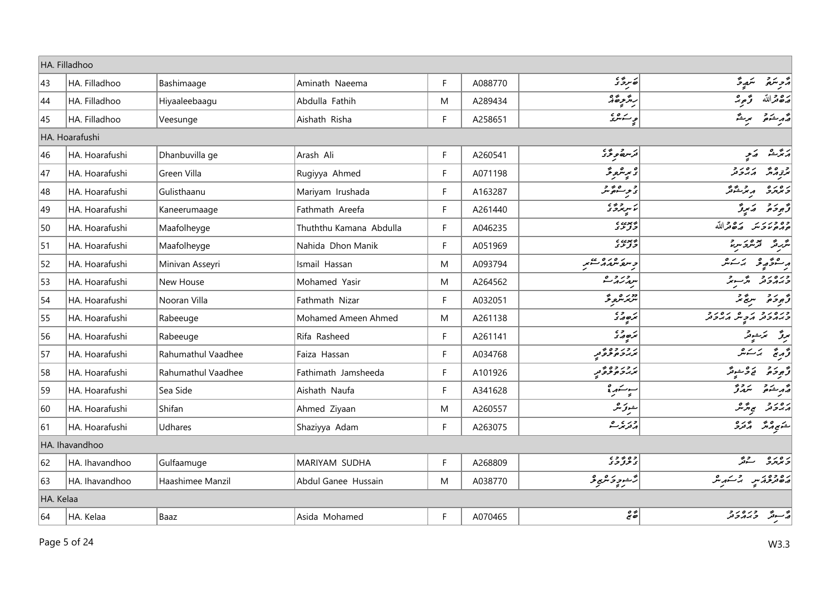|           | HA. Filladhoo  |                    |                         |   |         |                                                             |                                    |
|-----------|----------------|--------------------|-------------------------|---|---------|-------------------------------------------------------------|------------------------------------|
| 43        | HA. Filladhoo  | Bashimaage         | Aminath Naeema          | F | A088770 | ئە بىردى<br>ھ                                               | أرمز تر<br>سَمِيرةَ                |
| 44        | HA. Filladhoo  | Hiyaaleebaagu      | Abdulla Fathih          | M | A289434 | ر پڑ پوځ د<br>ر                                             | <mark>صَصحر</mark> اللّه<br>ۇ ئەر  |
| 45        | HA. Filladhoo  | Veesunge           | Aishath Risha           | F | A258651 | ويسكره يمح                                                  | و<br>مگر شکھی مرے                  |
|           | HA. Hoarafushi |                    |                         |   |         |                                                             |                                    |
| 46        | HA. Hoarafushi | Dhanbuvilla ge     | Arash Ali               | F | A260541 | تەسھۇمۇتى                                                   | ر پڑے رکے                          |
| 47        | HA. Hoarafushi | Green Villa        | Rugiyya Ahmed           | F | A071198 | ە بېرىئر <sub>ى</sub> رگە                                   | 2,00 2022                          |
| 48        | HA. Hoarafushi | Gulisthaanu        | Mariyam Irushada        | F | A163287 | ا د په ده وروسته                                            | ره ره<br>د <i>پر</i> برد مریم شوتر |
| 49        | HA. Hoarafushi | Kaneerumaage       | Fathmath Areefa         | F | A261440 | ر<br>مأسر پر ژی                                             | وٌمِ وَ وَ مَرِ وَ                 |
| 50        | HA. Hoarafushi | Maafolheyge        | Thuththu Kamana Abdulla | F | A046235 | ه پون<br><del>و</del> تو و                                  | وە دىرىر بەھ قراللە                |
| 51        | HA. Hoarafushi | Maafolheyge        | Nahida Dhon Manik       | F | A051969 | په پور، ،<br>د تو تر د                                      | لتربير محمد المرار                 |
| 52        | HA. Hoarafushi | Minivan Asseyri    | Ismail Hassan           | M | A093794 | ج سره سره ٢٠                                                | ر قۇم قاسىر                        |
| 53        | HA. Hoarafushi | New House          | Mohamed Yasir           | M | A264562 | سرزبر وے                                                    | כנסגב ביניה<br>כממכת תיידת         |
| 54        | HA. Hoarafushi | Nooran Villa       | Fathmath Nizar          | F | A032051 | دور م <sub>ح</sub> مد گر                                    | وٌمودَهُ سِيَّ                     |
| 55        | HA. Hoarafushi | Rabeeuge           | Mohamed Ameen Ahmed     | M | A261138 | ترجوري                                                      | כנסגב גם גםגב<br>בגמבת הבֱית הגבת  |
| 56        | HA. Hoarafushi | Rabeeuge           | Rifa Rasheed            | F | A261141 | برەم                                                        | ىرق ئىرىشوقر<br>رىس ئى             |
| 57        | HA. Hoarafushi | Rahumathul Vaadhee | Faiza Hassan            | F | A034768 | ر و ر و ه و.<br>بربر و بو و و تر                            | د دي.<br>د کاري د کار کار          |
| 58        | HA. Hoarafushi | Rahumathul Vaadhee | Fathimath Jamsheeda     | F | A101926 | ر و ر و ه و<br>بربر و بو و و تر                             | و ده ده ده شوند                    |
| 59        | HA. Hoarafushi | Sea Side           | Aishath Naufa           | F | A341628 | په مسکور ؟<br>په                                            |                                    |
| 60        | HA. Hoarafushi | Shifan             | Ahmed Ziyaan            | M | A260557 | <sub>شو</sub> تر نگر                                        | رەرو پەر                           |
| 61        | HA. Hoarafushi | <b>Udhares</b>     | Shaziyya Adam           | F | A263075 | د بر پر <u>م</u>                                            | شوم ويده ويده                      |
|           | HA. Ihavandhoo |                    |                         |   |         |                                                             |                                    |
| 62        | HA. Ihavandhoo | Gulfaamuge         | MARIYAM SUDHA           | F | A268809 | وه پر و ،<br>د موتو تر د                                    | ره ره دید<br>د بربرد ک             |
| 63        | HA. Ihavandhoo | Haashimee Manzil   | Abdul Ganee Hussain     | M | A038770 | ر<br>ئەھوچە ئەسىرى<br>مەس                                   | גם בכתיב הביתית                    |
| HA. Kelaa |                |                    |                         |   |         |                                                             |                                    |
| 64        | HA. Kelaa      | Baaz               | Asida Mohamed           | F | A070465 | $\overset{\circ}{\varepsilon} \overset{\circ}{\varepsilon}$ | و دره دره.<br>در سوتر دبردونر      |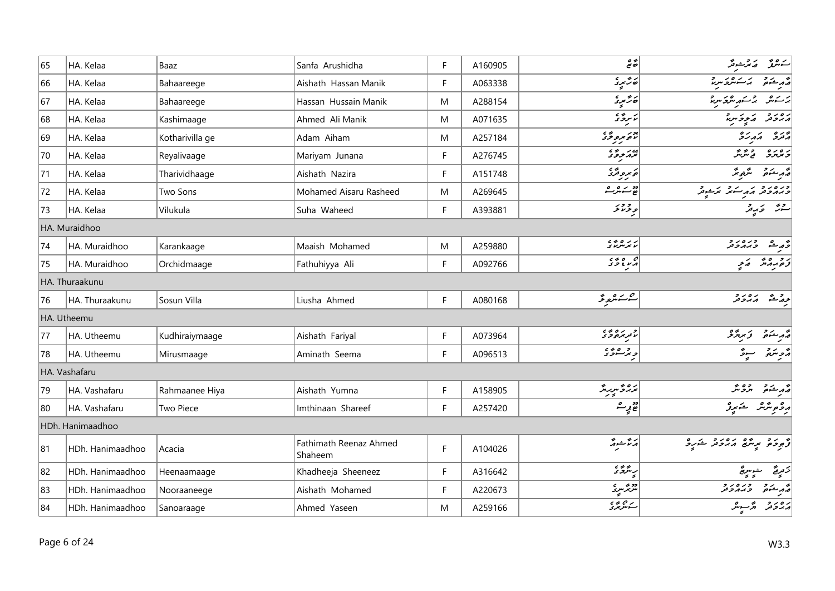| 65 | HA. Kelaa        | Baaz             | Sanfa Arushidha                   | F         | A160905 | $\overset{\circ}{\varepsilon} \overset{\circ}{\varepsilon}$ | سەس ئۇ ئەيرىشىدىگر                           |
|----|------------------|------------------|-----------------------------------|-----------|---------|-------------------------------------------------------------|----------------------------------------------|
| 66 | HA. Kelaa        | Bahaareege       | Aishath Hassan Manik              | F         | A063338 | ر و د<br>ن تر مور                                           | مەم شىم ئەسكىلىرىمى                          |
| 67 | HA. Kelaa        | Bahaareege       | Hassan Hussain Manik              | M         | A288154 | ر و<br>نه تر مړي                                            | ى سەھرى ئەسكىر ھەككىرىدە                     |
| 68 | HA. Kelaa        | Kashimaage       | Ahmed Ali Manik                   | M         | A071635 | لأبرمجء                                                     | أرور وكموتر مر                               |
| 69 | HA. Kelaa        | Kotharivilla ge  | Adam Aiham                        | M         | A257184 | * ئو مرعه محرم <sup>"</sup>                                 | أرتده أتركره                                 |
| 70 | HA. Kelaa        | Reyalivaage      | Mariyam Junana                    | F         | A276745 | پر پر یو چ ی<br>  پر پر چرچ ی                               | ره ره د پر                                   |
| 71 | HA. Kelaa        | Tharividhaage    | Aishath Nazira                    | F.        | A151748 | <br> حوسر <i>و</i> قری                                      | قەرشۇق سىبرىتى                               |
| 72 | HA. Kelaa        | <b>Two Sons</b>  | Mohamed Aisaru Rasheed            | M         | A269645 | قاسە ئىرگە                                                  | כמחכת הקבל היית                              |
| 73 | HA. Kelaa        | Vilukula         | Suha Waheed                       | F         | A393881 | وڅرنمنځر                                                    | الشرش المحاريثي                              |
|    | HA. Muraidhoo    |                  |                                   |           |         |                                                             |                                              |
| 74 | HA. Muraidhoo    | Karankaage       | Maaish Mohamed                    | ${\sf M}$ | A259880 | ر ره و د<br>ما بر مرما د                                    | و مدار در در در د                            |
| 75 | HA. Muraidhoo    | Orchidmaage      | Fathuhiyya Ali                    | F         | A092766 | ه موء ته<br>مرد ترد                                         | و و وه د و                                   |
|    | HA. Thuraakunu   |                  |                                   |           |         |                                                             |                                              |
| 76 | HA. Thuraakunu   | Sosun Villa      | Liusha Ahmed                      | F         | A080168 | <u>شر سەھرىخ</u>                                            | أحدث شداد ورود                               |
|    | HA. Utheemu      |                  |                                   |           |         |                                                             |                                              |
| 77 | HA. Utheemu      | Kudhiraiymaage   | Aishath Fariyal                   | F         | A073964 | د بره و ،                                                   | وأرشع وبرامع                                 |
| 78 | HA. Utheemu      | Mirusmaage       | Aminath Seema                     | F         | A096513 | و بر ۱۵ په په                                               | أروبني سودً                                  |
|    | HA. Vashafaru    |                  |                                   |           |         |                                                             |                                              |
| 79 | HA. Vashafaru    | Rahmaanee Hiya   | Aishath Yumna                     | F         | A158905 | <br>  برر د سر سر مر                                        | ړُ د شکاه او دو مگر                          |
| 80 | HA. Vashafaru    | <b>Two Piece</b> | Imthinaan Shareef                 | F.        | A257420 | تیم پ <sub>و</sub> ر م                                      | رۇمۇش شېرۇ                                   |
|    | HDh. Hanimaadhoo |                  |                                   |           |         |                                                             |                                              |
| 81 | HDh. Hanimaadhoo | Acacia           | Fathimath Reenaz Ahmed<br>Shaheem | F         | A104026 | رَ تَمْ بِ تَهْرِ                                           | توجود بريترج مهادو كارو                      |
| 82 | HDh. Hanimaadhoo | Heenaamaage      | Khadheeja Sheeneez                | F.        | A316642 | ر پژو <sup>ي</sup>                                          | زيريځ شوسره<br>زيريځ ورورو<br>هم شوه ورورونر |
| 83 | HDh. Hanimaadhoo | Nooraaneege      | Aishath Mohamed                   | F.        | A220673 | پر پڑ <sub>سری</sub>                                        |                                              |
| 84 | HDh. Hanimaadhoo | Sanoaraage       | Ahmed Yaseen                      | M         | A259166 | سەھەيي                                                      | رەرد پۇسىر                                   |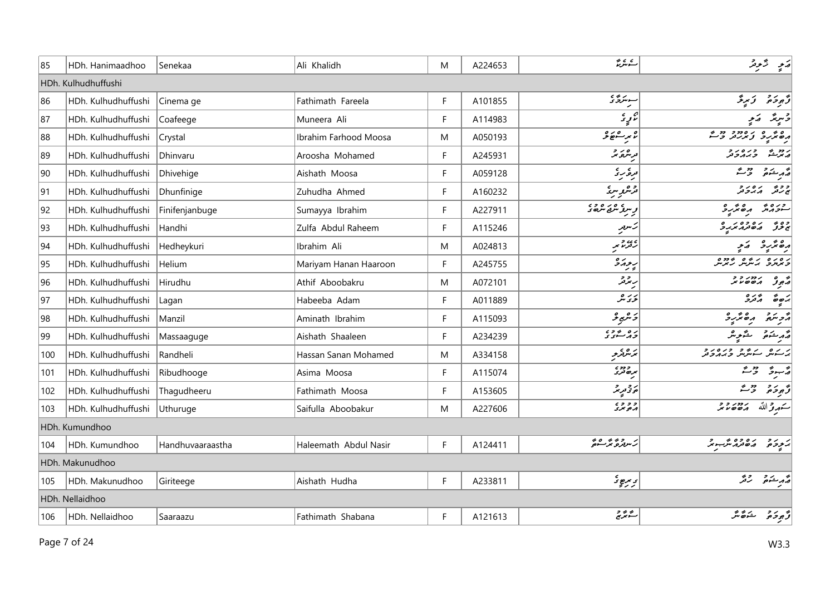| 85  | HDh. Hanimaadhoo    | Senekaa          | Ali Khalidh           | M           | A224653 | ے پر پر<br>سورتہ                    | أشعي الشعيقر                                            |
|-----|---------------------|------------------|-----------------------|-------------|---------|-------------------------------------|---------------------------------------------------------|
|     | HDh. Kulhudhuffushi |                  |                       |             |         |                                     |                                                         |
| 86  | HDh. Kulhudhuffushi | Cinema ge        | Fathimath Fareela     | F           | A101855 | سە ئىرى ئ                           |                                                         |
| 87  | HDh. Kulhudhuffushi | Coafeege         | Muneera Ali           | F           | A114983 | ە<br>ئىمو ئە                        | د و دو د کرده.<br>د سرگر د کم                           |
| 88  | HDh. Kulhudhuffushi | Crystal          | Ibrahim Farhood Moosa | M           | A050193 | ە بىرىش <i>ىغ</i> ۇ                 | ם בים גם בחבר חבר.<br>גם ביק ביביב ב                    |
| 89  | HDh. Kulhudhuffushi | Dhinvaru         | Aroosha Mohamed       | F           | A245931 | ىر سرىر تر                          | و ره ر و<br><i>و پر</i> و تر<br>ر دو پر<br>پر بوشگو     |
| 90  | HDh. Kulhudhuffushi | Dhivehige        | Aishath Moosa         | F           | A059128 | ىرغەرىج<br>مەم                      | ړ په ده ده ده ک                                         |
| 91  | HDh. Kulhudhuffushi | Dhunfinige       | Zuhudha Ahmed         | F           | A160232 | قرىثرو سرئه                         | و و مرکب در و<br>بح رقر مرکب کردگر                      |
| 92  | HDh. Kulhudhuffushi | Finifenjanbuge   | Sumayya Ibrahim       | F           | A227911 | و سرو عرص و د په<br>و سرو سرچ سرچ د |                                                         |
| 93  | HDh. Kulhudhuffushi | Handhi           | Zulfa Abdul Raheem    | F           | A115246 | زسرير                               | ره وه ر <sub>و</sub> ه<br>مصرم بربر<br>و ه و.<br>پح فرگ |
| 94  | HDh. Kulhudhuffushi | Hedheykuri       | Ibrahim Ali           | M           | A024813 | ہ<br> رتر را مر                     | ە قەترىرى<br>مەھترىرى                                   |
| 95  | HDh. Kulhudhuffushi | Helium           | Mariyam Hanan Haaroon | F           | A245755 | ر پر دی<br>ء ر                      | بر مجمع مح <sup>ود ہ</sup>                              |
| 96  | HDh. Kulhudhuffushi | Hirudhu          | Athif Aboobakru       | M           | A072101 | رىزىز                               | נ בב ג ב<br>גם סיט זק<br>ومجوفر                         |
| 97  | HDh. Kulhudhuffushi | Lagan            | Habeeba Adam          | F           | A011889 | ىز ئەھر                             | ر<br>پڻونه<br>پور ہ<br>مرتون                            |
| 98  | HDh. Kulhudhuffushi | Manzil           | Aminath Ibrahim       | F           | A115093 | ئەشىر ۋ                             | أأدبره<br>ە ھەمەر 2<br>بەھەمەر 2                        |
| 99  | HDh. Kulhudhuffushi | Massaaguge       | Aishath Shaaleen      | F           | A234239 | ره په دې<br><del>ر</del> و سگړې     | ر<br>پر دید کا دیگر میگر                                |
| 100 | HDh. Kulhudhuffushi | Randheli         | Hassan Sanan Mohamed  | M           | A334158 | برەء                                | ر رو من من بر در در در د                                |
| 101 | HDh. Kulhudhuffushi | Ribudhooge       | Asima Moosa           | F           | A115074 | و وو ت<br>موره توري                 | رمج سبرقر<br>دريمه                                      |
| 102 | HDh. Kulhudhuffushi | Thagudheeru      | Fathimath Moosa       | $\mathsf F$ | A153605 | <br> حوتو موسر                      | و مر د<br>دريجه                                         |
| 103 | HDh. Kulhudhuffushi | Uthuruge         | Saifulla Aboobakur    | M           | A227606 | د د د د<br>د ه برد                  | 77777<br>ستمرقر الله                                    |
|     | HDh. Kumundhoo      |                  |                       |             |         |                                     |                                                         |
| 104 | HDh. Kumundhoo      | Handhuvaaraastha | Haleemath Abdul Nasir | $\mathsf F$ | A124411 | ر<br>سربېروگېرگورو                  | ג׳תֶ בים ניסים בים בי                                   |
|     | HDh. Makunudhoo     |                  |                       |             |         |                                     |                                                         |
| 105 | HDh. Makunudhoo     | Giriteege        | Aishath Hudha         | F.          | A233811 | ړ مربو ځ<br>تر تر په                | و در دو.<br><i>مار</i> شومی رفتر                        |
|     | HDh. Nellaidhoo     |                  |                       |             |         |                                     |                                                         |
| 106 | HDh. Nellaidhoo     | Saaraazu         | Fathimath Shabana     | F.          | A121613 | شر دید.<br>سنورس                    | وٌ جو تر ح<br>شەھ ئىر                                   |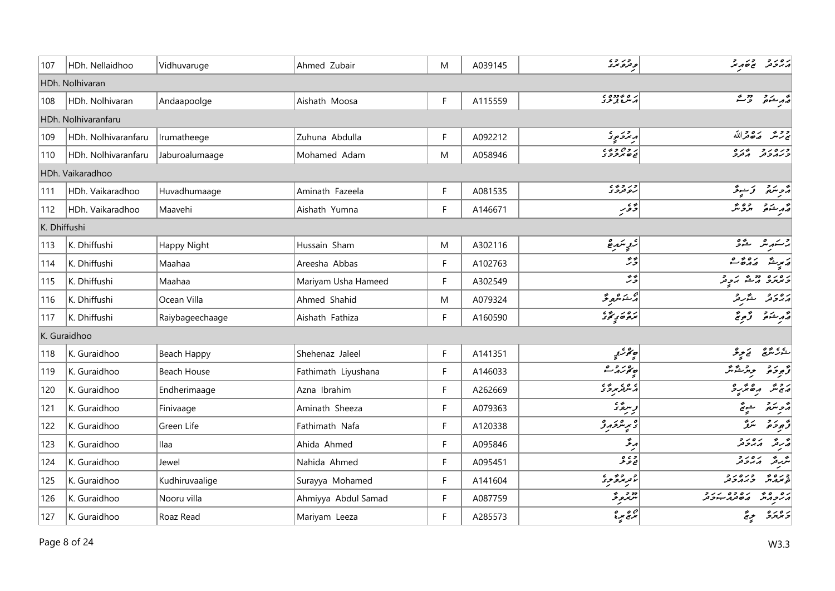| 107          | HDh. Nellaidhoo     | Vidhuvaruge        | Ahmed Zubair        | M           | A039145 | و ر و ء<br>ح <sub>ا</sub> فر <i>و بو</i> د | גפני יישוב                                                |
|--------------|---------------------|--------------------|---------------------|-------------|---------|--------------------------------------------|-----------------------------------------------------------|
|              | HDh. Nolhivaran     |                    |                     |             |         |                                            |                                                           |
| 108          | HDh. Nolhivaran     | Andaapoolge        | Aishath Moosa       | $\mathsf F$ | A115559 | ر ۵ ۶۶ وه ۵<br>د سره بو مرد                | ړه شوه وحش                                                |
|              | HDh. Nolhivaranfaru |                    |                     |             |         |                                            |                                                           |
| 109          | HDh. Nolhivaranfaru | Irumatheege        | Zuhuna Abdulla      | $\mathsf F$ | A092212 | ېر بر دې ده<br>ر                           | يرحمش وكافرالله                                           |
| 110          | HDh. Nolhivaranfaru | Jaburoalumaage     | Mohamed Adam        | M           | A058946 | ر وه و و »<br>ق ځ نو ژ د                   | ور ہ د و ده<br><i>ور</i> مرکز                             |
|              | HDh. Vaikaradhoo    |                    |                     |             |         |                                            |                                                           |
| 111          | HDh. Vaikaradhoo    | Huvadhumaage       | Aminath Fazeela     | F           | A081535 | و ر و د »<br>ره ترو د                      | أأرض وكمستوقح                                             |
| 112          | HDh. Vaikaradhoo    | Maavehi            | Aishath Yumna       | F           | A146671 | أقحفر                                      | ه در ده و.<br>مگر شوه افروس                               |
| K. Dhiffushi |                     |                    |                     |             |         |                                            |                                                           |
| 113          | K. Dhiffushi        | Happy Night        | Hussain Sham        | M           | A302116 | ر بو سَرم هِ                               | برسكور مشوقه                                              |
| 114          | K. Dhiffushi        | Maahaa             | Areesha Abbas       | F           | A102763 | وًرً                                       |                                                           |
| 115          | K. Dhiffushi        | Maahaa             | Mariyam Usha Hameed | F           | A302549 | $\mathcal{I}$                              | ג 270 מילי הקית                                           |
| 116          | K. Dhiffushi        | Ocean Villa        | Ahmed Shahid        | M           | A079324 | ە ئەيەتىرىدىگە<br>م                        | رەرد شەرىر                                                |
| 117          | K. Dhiffushi        | Raiybageechaage    | Aishath Fathiza     | F           | A160590 | ر ە ر<br>ئىرقوڭ يەنگى                      | وكرم شكوم وتحامي                                          |
|              | K. Guraidhoo        |                    |                     |             |         |                                            |                                                           |
| 118          | K. Guraidhoo        | <b>Beach Happy</b> | Shehenaz Jaleel     | $\mathsf F$ | A141351 | ھەمچە <sup>ر</sup> بو <sub>يە</sub>        | شرکرمنگ کے پرو                                            |
| 119          | K. Guraidhoo        | <b>Beach House</b> | Fathimath Liyushana | F           | A146033 | ھەمجە ئەرگە                                | ژوده پرهشگ                                                |
| 120          | K. Guraidhoo        | Endherimaage       | Azna Ibrahim        | F           | A262669 | ، هوپر پر دي<br>مشمر پر دي                 | رە ئەرد<br>ىر جە ئىگە<br>ھەبىح ئىگە                       |
| 121          | K. Guraidhoo        | Finivaage          | Aminath Sheeza      | F           | A079363 | وسرچ                                       | سنويج<br>پ <sup>و</sup> پر پر د                           |
| 122          | K. Guraidhoo        | Green Life         | Fathimath Nafa      | $\mathsf F$ | A120338 | ە <sub>مو</sub> شرىخەر ۋ                   | وحجاجهم<br>سروٌ                                           |
| 123          | K. Guraidhoo        | Ilaa               | Ahida Ahmed         | $\mathsf F$ | A095846 | برتخه                                      | ە ئەر قىر<br>پروژو                                        |
| 124          | K. Guraidhoo        | Jewel              | Nahida Ahmed        | $\mathsf F$ | A095451 | و ، ه<br>قع مو                             | شررقر مرزور                                               |
| 125          | K. Guraidhoo        | Kudhiruvaalige     | Surayya Mohamed     | F           | A141604 | ر<br>ئىم تېرىترغ <sup>ى پى</sup> رى        | ج بر 0 پر<br>فو بمرور تر<br>و ره ر و<br>تر پرتر تر        |
| 126          | K. Guraidhoo        | Nooru villa        | Ahmiyya Abdul Samad | F           | A087759 | ير بر پر                                   | ړه په هغ<br>ر ٥ ٥ ٥ ر ر و<br>پرڪ تر پر سن <del>ر</del> تر |
| 127          | K. Guraidhoo        | Roaz Read          | Mariyam Leeza       | E           | A285573 | ہ ہ<br>مربح س <sub>ی</sub> ہ               | دەرە دېڭى                                                 |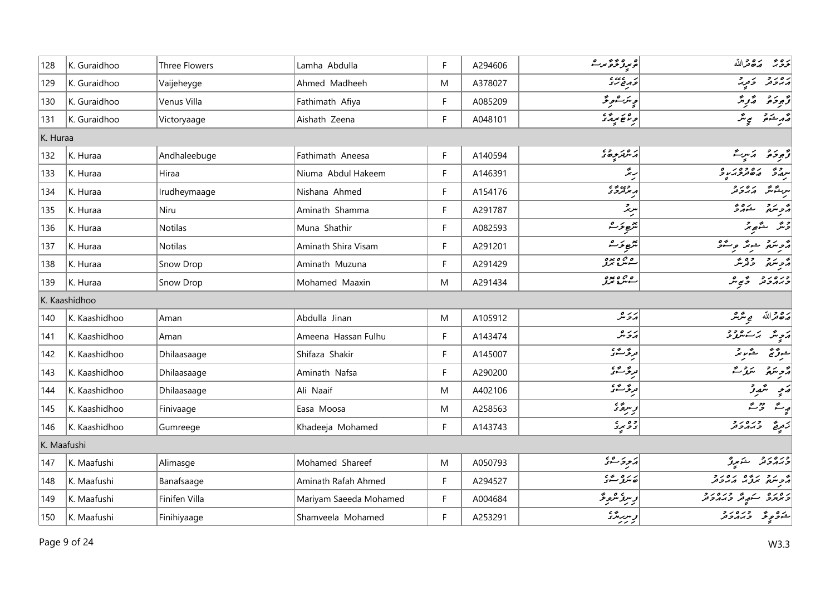| 128         | K. Guraidhoo  | <b>Three Flowers</b> | Lamha Abdulla          | F         | A294606 | ە يور قىق بىر <u>م</u>   | ترويج وكافرالله                                     |
|-------------|---------------|----------------------|------------------------|-----------|---------|--------------------------|-----------------------------------------------------|
| 129         | K. Guraidhoo  | Vaijeheyge           | Ahmed Madheeh          | M         | A378027 | ر<br>ح د ح ر د           | د ۱۵ د تورژ                                         |
| 130         | K. Guraidhoo  | Venus Villa          | Fathimath Afiya        | F         | A085209 | مەسىر شىرىدىگە           | وتجوحكم المروائر                                    |
| 131         | K. Guraidhoo  | Victoryaage          | Aishath Zeena          | F         | A048101 | <br>  عربر كا سر مركز كه | قەرشۇق بېش                                          |
| K. Huraa    |               |                      |                        |           |         |                          |                                                     |
| 132         | K. Huraa      | Andhaleebuge         | Fathimath Aneesa       | F         | A140594 | پر عربي <i>چ</i> ي       | أوالمحمد وأسراء                                     |
| 133         | K. Huraa      | Hiraa                | Niuma Abdul Hakeem     | F         | A146391 | رىچە                     |                                                     |
| 134         | K. Huraa      | Irudheymaage         | Nishana Ahmed          | F         | A154176 | و در د.<br>در موتور و د  | س شگر کرد در د                                      |
| 135         | K. Huraa      | Niru                 | Aminath Shamma         | F         | A291787 | سرچر                     |                                                     |
| 136         | K. Huraa      | Notilas              | Muna Shathir           | F         | A082593 | يتر <sub>جع</sub> بحرك   |                                                     |
| 137         | K. Huraa      | Notilas              | Aminath Shira Visam    | F         | A291201 | لتتبع ئرشه               | و برد مشرقه و مشی                                   |
| 138         | K. Huraa      | Snow Drop            | Aminath Muzuna         | F         | A291429 | <u>ه جې ويوه</u>         | أأزويتهم وفريتر                                     |
| 139         | K. Huraa      | Snow Drop            | Mohamed Maaxin         | M         | A291434 | <u>ه چې موه</u>          | ورەرو ۇېر                                           |
|             | K. Kaashidhoo |                      |                        |           |         |                          |                                                     |
| 140         | K. Kaashidhoo | Aman                 | Abdulla Jinan          | M         | A105912 | ەر ھ                     | پرځترالله م <sub>ح</sub> شرمر                       |
| 141         | K. Kaashidhoo | Aman                 | Ameena Hassan Fulhu    | F         | A143474 | برىر ھ                   | أأروش أركب ووو                                      |
| 142         | K. Kaashidhoo | Dhilaasaage          | Shifaza Shakir         | F         | A145007 | ەر ئۇرىچى                |                                                     |
| 143         | K. Kaashidhoo | Dhilaasaage          | Aminath Nafsa          | F         | A290200 | مرتَرْ سَمْرَ            | سودي شريد<br>سودي شريد<br>مرسمه شدش                 |
| 144         | K. Kaashidhoo | Dhilaasaage          | Ali Naaif              | M         | A402106 | مرتژستری                 | ە ئېرۇ                                              |
| 145         | K. Kaashidhoo | Finivaage            | Easa Moosa             | M         | A258563 | و سرچ <sup>ي</sup>       |                                                     |
| 146         | K. Kaashidhoo | Gumreege             | Khadeeja Mohamed       | F         | A143743 | و ه<br>  د ح مړنو        | زَمْرِيحَ وَرَه رَو                                 |
| K. Maafushi |               |                      |                        |           |         |                          |                                                     |
| 147         | K. Maafushi   | Alimasge             | Mohamed Shareef        | ${\sf M}$ | A050793 | رزوجة سقومي              | ورەرو ئىيرو                                         |
| 148         | K. Maafushi   | Banafsaage           | Aminath Rafah Ahmed    | F         | A294527 | ە ئىرە مەي               | أدوسي برود برورد                                    |
| 149         | K. Maafushi   | Finifen Villa        | Mariyam Saeeda Mohamed | F         | A004684 | اربىدۇ شوۋ               | ر ٥ ر٥ م م م ٥ ر ٥ ر و<br>و بربرو مسمورتر و بربروتر |
| 150         | K. Maafushi   | Finihiyaage          | Shamveela Mohamed      | F         | A253291 | و سربر پر <sup>ی</sup>   | <br> شوه پوه دره دره                                |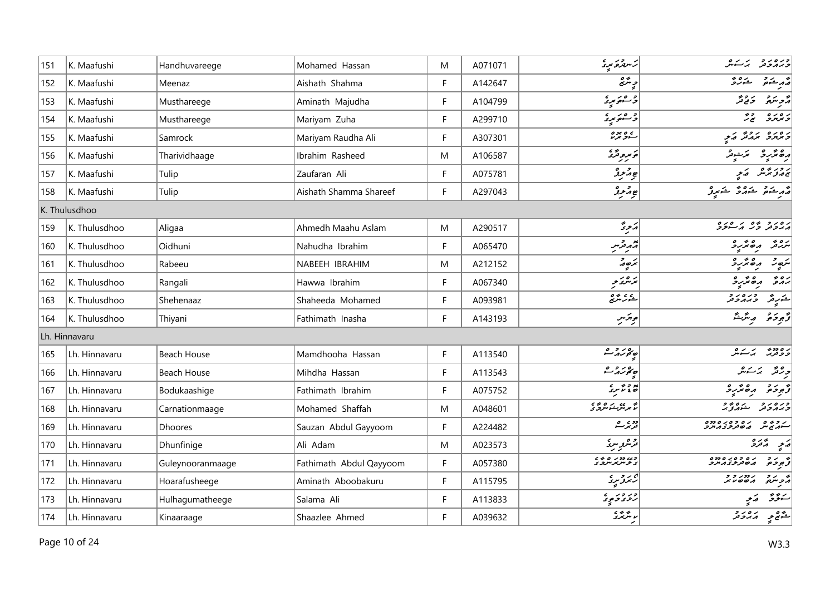| 151 | K. Maafushi   | Handhuvareege      | Mohamed Hassan          | M  | A071071 | ئەسە <i>دە</i> بەر              | ورەرو پەسەر                                                           |
|-----|---------------|--------------------|-------------------------|----|---------|---------------------------------|-----------------------------------------------------------------------|
| 152 | K. Maafushi   | Meenaz             | Aishath Shahma          | F  | A142647 | جە ئىگە                         | شەرچ<br>ر<br>د که د مشوځو                                             |
| 153 | K. Maafushi   | Musthareege        | Aminath Majudha         | F  | A104799 | د سه هم مړی<br>د سهمون          | أرمز ترة<br>ر 3 قر                                                    |
| 154 | K. Maafushi   | Musthareege        | Mariyam Zuha            | F  | A299710 | و صر پر ۽<br>حرڪو پيري          | ر ه ر ه<br>تر <del>ب</del> ر بر<br>ح تر                               |
| 155 | K. Maafushi   | Samrock            | Mariyam Raudha Ali      | F  | A307301 | ے ویو ہ<br>سعو محرما            | ג 20 ג 29 ג'ור                                                        |
| 156 | K. Maafushi   | Tharividhaage      | Ibrahim Rasheed         | M  | A106587 | <br> توسر و مرد                 | ەرھەترىرى<br>ر<br>ىكەشەقە                                             |
| 157 | K. Maafushi   | Tulip              | Zaufaran Ali            | F  | A075781 | جوړېږ                           | روروه من                                                              |
| 158 | K. Maafushi   | Tulip              | Aishath Shamma Shareef  | F. | A297043 | ھ م <sup>و</sup> مرو<br>م       | أَمَّ إِسْتَمَعَ الشَّمْرُونَ الشَّمْرِيْنَ                           |
|     | K. Thulusdhoo |                    |                         |    |         |                                 |                                                                       |
| 159 | K. Thulusdhoo | Aligaa             | Ahmedh Maahu Aslam      | M  | A290517 | پرویژ                           | ג ם ג כ ב ה ה ב ג פ ג פ<br>הגב <i>ע ב ג ה</i> — <del>יכ</del> ב       |
| 160 | K. Thulusdhoo | Oidhuni            | Nahudha Ibrahim         | F  | A065470 | بر<br>مرمر تر سر                | يروثر أرەتمرىر                                                        |
| 161 | K. Thulusdhoo | Rabeeu             | NABEEH IBRAHIM          | M  | A212152 | برەد                            | ەھ ئۈرۈ<br>سەھەر<br>ئ                                                 |
| 162 | K. Thulusdhoo | Rangali            | Hawwa Ibrahim           | F  | A067340 | برەرىر                          | برەپچ<br>ە ھەترىرى<br>برھ ترىرى                                       |
| 163 | K. Thulusdhoo | Shehenaaz          | Shaheeda Mohamed        | F  | A093981 | ے بر بر مر<br>مشر بر متر پن     | وره رو<br>وبروتو<br>ے کمبر مگر<br>پخ                                  |
| 164 | K. Thulusdhoo | Thiyani            | Fathimath Inasha        | F  | A143193 | ەدىرىىر                         | قرم في مقطعة                                                          |
|     | Lh. Hinnavaru |                    |                         |    |         |                                 |                                                                       |
| 165 | Lh. Hinnavaru | <b>Beach House</b> | Mamdhooha Hassan        | F  | A113540 | ھەممەر 2                        | ر ه دوم<br>تر تر تر<br>برسەمىر                                        |
| 166 | Lh. Hinnavaru | <b>Beach House</b> | Mihdha Hassan           | F  | A113543 | پەيمەئەر م                      | ورقر يزكنو                                                            |
| 167 | Lh. Hinnavaru | Bodukaashige       | Fathimath Ibrahim       | F. | A075752 | لاة ممبرة<br>مستشركة            | مەھترىرى<br>و په پر د                                                 |
| 168 | Lh. Hinnavaru | Carnationmaage     | Mohamed Shaffah         | M  | A048601 | ء<br>پڻ پورس شوکس پر پر پر      | ے دو و د<br>و ر ه ر و<br>و پر پر <del>و</del> تر                      |
| 169 | Lh. Hinnavaru | <b>Dhoores</b>     | Sauzan Abdul Gayyoom    | F  | A224482 | دو ۽ ه                          | ק כשים הם כסקים בכם<br>המה אינה הם בקיב במיקיב                        |
| 170 | Lh. Hinnavaru | Dhunfinige         | Ali Adam                | M  | A023573 | قرشوبير                         | أەسمجە مەتىرو                                                         |
| 171 | Lh. Hinnavaru | Guleynooranmaage   | Fathimath Abdul Qayyoom | F  | A057380 | وړ، دور ه په ،<br>د نوسرپرسرو د | ر ٥ ر ٥ ر ٥ دو ٥<br>پر ت <i>۵ تر پر بر ب</i> ر<br>و <sub>م</sub> ور د |
| 172 | Lh. Hinnavaru | Hoarafusheege      | Aminath Aboobakuru      | F  | A115795 | <i>ج پر 3 م</i> ر <sup>ي</sup>  | 77/77/<br>أزحر سرة                                                    |
| 173 | Lh. Hinnavaru | Hulhagumatheege    | Salama Ali              | F. | A113833 | ور ور<br>رنگ څخه تو ت           | سەۋە<br>رځمني                                                         |
| 174 | Lh. Hinnavaru | Kinaaraage         | Shaazlee Ahmed          | F  | A039632 | ر پر پر د<br>پر متر پر پر       | شگهو كەرد                                                             |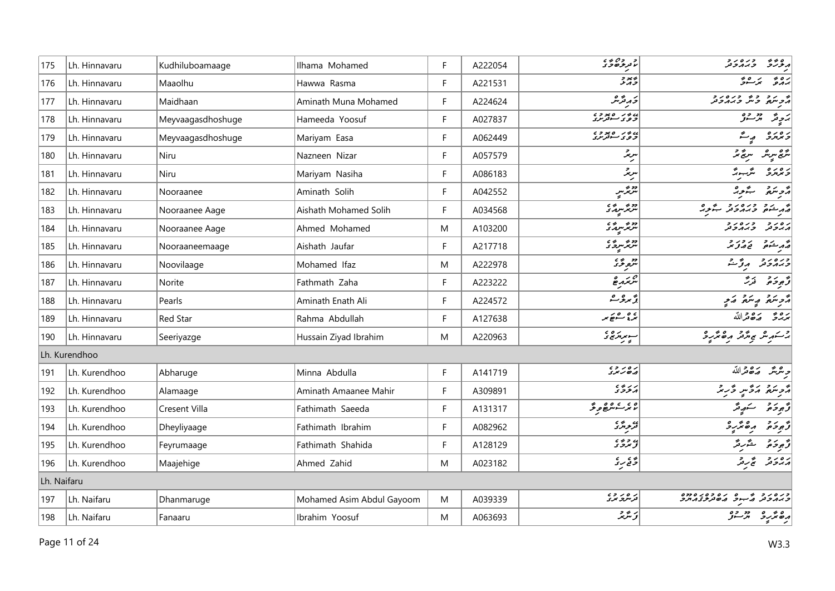| 175         | Lh. Hinnavaru | Kudhiluboamaage   | Ilhama Mohamed            | F  | A222054 | و وه وه و ،<br>ما تر پژه و د              | و ره ر و<br><i>د ب</i> رگرفر<br>أبرعرشر     |
|-------------|---------------|-------------------|---------------------------|----|---------|-------------------------------------------|---------------------------------------------|
| 176         | Lh. Hinnavaru | Maaolhu           | Hawwa Rasma               | F  | A221531 | پر بر و<br>و پر ن                         | پره پچ<br>ىر ئەبى                           |
| 177         | Lh. Hinnavaru | Maidhaan          | Aminath Muna Mohamed      | F. | A224624 | ئەر بۇرى <i>گە</i>                        | د در د در در در د                           |
| 178         | Lh. Hinnavaru | Meyvaagasdhoshuge | Hameeda Yoosuf            | F  | A027837 | ، پر ر صد و ء<br>  ترخ ي سسه ترمزی        | دد وه<br>در سو<br>برَحٍةًر                  |
| 179         | Lh. Hinnavaru | Meyvaagasdhoshuge | Mariyam Easa              | F  | A062449 | ده بر ره پود د<br>وی د ک                  | و وره په ش                                  |
| 180         | Lh. Hinnavaru | Niru              | Nazneen Nizar             | F  | A057579 | سرچر                                      | س <i>گھ سرمگر</i> سرچ س                     |
| 181         | Lh. Hinnavaru | Niru              | Mariyam Nasiha            | F  | A086183 | سرچر                                      | ر ه ر ه<br><del>و</del> بربرگر<br>ىترىبەر   |
| 182         | Lh. Hinnavaru | Nooraanee         | Aminath Solih             | F  | A042552 | دور<br>مرتز سر                            | أأروبتهم بكرور                              |
| 183         | Lh. Hinnavaru | Nooraanee Aage    | Aishath Mohamed Solih     | F  | A034568 | دور پر دی<br>سرپر سرد د                   |                                             |
| 184         | Lh. Hinnavaru | Nooraanee Aage    | Ahmed Mohamed             | M  | A103200 | دور پر دی<br>سرپر سرد د                   | ر <i>ס ג</i> כ ג ס ג כ<br>ג ג כ ג ג ג ג ב ג |
| 185         | Lh. Hinnavaru | Nooraaneemaage    | Aishath Jaufar            | F  | A217718 | در پر پر دی<br>سر پر پر دی                | أقهر مشتمر والمتحافي                        |
| 186         | Lh. Hinnavaru | Noovilaage        | Mohamed Ifaz              | M  | A222978 | دد<br>سره څري                             | ورەرو بەقت                                  |
| 187         | Lh. Hinnavaru | Norite            | Fathmath Zaha             | F  | A223222 | ترىرىر                                    | و بحجوجو بالمريحة                           |
| 188         | Lh. Hinnavaru | Pearls            | Aminath Enath Ali         | F  | A224572 | ۇ برۋىشە                                  | أأدجر سكم أوسكم أأوالمحم                    |
| 189         | Lh. Hinnavaru | <b>Red Star</b>   | Rahma Abdullah            | F  | A127638 | ی ه <u>ه ه</u> نم                         | بروءِ روم الله                              |
| 190         | Lh. Hinnavaru | Seeriyazge        | Hussain Ziyad Ibrahim     | M  | A220963 | سىمەدى ئى<br>شەھرى                        | بر سکر مگر مگر در مشارعه                    |
|             | Lh. Kurendhoo |                   |                           |    |         |                                           |                                             |
| 191         | Lh. Kurendhoo | Abharuge          | Minna Abdulla             | F. | A141719 | ر ٥ ر و ،<br>دره ر برد                    | ويثريثر أركاة والله                         |
| 192         | Lh. Kurendhoo | Alamaage          | Aminath Amaanee Mahir     | F  | A309891 | پەيرى                                     | أزويتم أرؤس وتربر                           |
| 193         | Lh. Kurendhoo | Cresent Villa     | Fathimath Saeeda          | F  | A131317 | ە ب <sub>ى</sub> ئەمرە <sub>ھ بو</sub> ئە | و مرد<br>توجو حر<br>سەرپەتر                 |
| 194         | Lh. Kurendhoo | Dheyliyaage       | Fathimath Ibrahim         | F  | A082962 | ء، پر پر<br>مرگ                           | و څو څخه د<br>ە ھېڭرىي<br>برھېڭرىيە         |
| 195         | Lh. Kurendhoo | Feyrumaage        | Fathimath Shahida         | F  | A128129 | در و در د<br>تو بور <del>ت</del> ر و      | وٌ جو حر ح<br>ستەرىر                        |
| 196         | Lh. Kurendhoo | Maajehige         | Ahmed Zahid               | M  | A023182 | ا پی په<br>د قبي سر تر                    | رەرو ئەرە                                   |
| Lh. Naifaru |               |                   |                           |    |         |                                           |                                             |
| 197         | Lh. Naifaru   | Dhanmaruge        | Mohamed Asim Abdul Gayoom | M  | A039339 | ر ہ ر د ،<br>ترسرپر بری                   |                                             |
| 198         | Lh. Naifaru   | Fanaaru           | Ibrahim Yoosuf            | M  | A063693 | ۇ ئىرىر                                   | دەنۇر دەر دەر دە                            |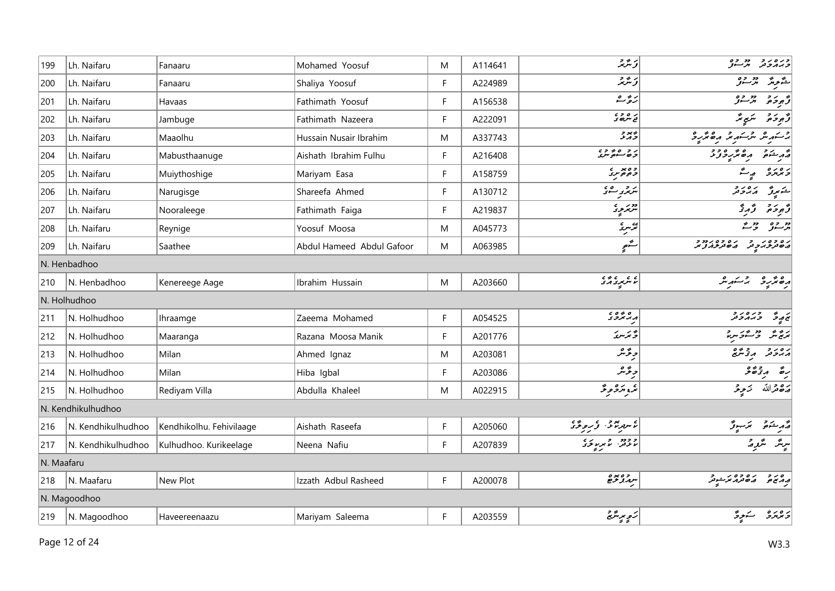| 199        | Lh. Naifaru        | Fanaaru                  | Mohamed Yoosuf            | M  | A114641 | ۇ ئىرىر                                     | כנסנים בפי<br>כ <i>ג</i> ונפיט, וני-ית                                                                                                                                                                                                                                                                                                                                                                                                                                                                                                |
|------------|--------------------|--------------------------|---------------------------|----|---------|---------------------------------------------|---------------------------------------------------------------------------------------------------------------------------------------------------------------------------------------------------------------------------------------------------------------------------------------------------------------------------------------------------------------------------------------------------------------------------------------------------------------------------------------------------------------------------------------|
| 200        | Lh. Naifaru        | Fanaaru                  | Shaliya Yoosuf            | F  | A224989 | ۇ ئىرىر                                     | هُ مِعْرِ مِرْ مِنْ مِنْ وَهِ                                                                                                                                                                                                                                                                                                                                                                                                                                                                                                         |
| 201        | Lh. Naifaru        | Havaas                   | Fathimath Yoosuf          | F  | A156538 | ر پۇ شە                                     | و د د دوه<br>د گروه مرسو                                                                                                                                                                                                                                                                                                                                                                                                                                                                                                              |
| 202        | Lh. Naifaru        | Jambuge                  | Fathimath Nazeera         | F  | A222091 | ر ۵ ۶ ء<br>قع سرچ <sub>ک</sub>              | ۇ <sub>ب</sub> ودۇ ئىي ئ                                                                                                                                                                                                                                                                                                                                                                                                                                                                                                              |
| 203        | Lh. Naifaru        | Maaolhu                  | Hussain Nusair Ibrahim    | M  | A337743 | پر بر و<br>و پر ن                           | جسكر عرائش بره بره برره                                                                                                                                                                                                                                                                                                                                                                                                                                                                                                               |
| 204        | Lh. Naifaru        | Mabusthaanuge            | Aishath Ibrahim Fulhu     | F  | A216408 | ر و ه ه و و و<br><b>و ځانگو</b> سری         | و د شوه مه ده نورو د د                                                                                                                                                                                                                                                                                                                                                                                                                                                                                                                |
| 205        | Lh. Naifaru        | Muiythoshige             | Mariyam Easa              | F  | A158759 | و ه بو پر<br>تر حو جو مړي                   | دەرە پەت                                                                                                                                                                                                                                                                                                                                                                                                                                                                                                                              |
| 206        | Lh. Naifaru        | Narugisge                | Shareefa Ahmed            | F  | A130712 | ىئر <i>پرېمو</i> ر شوت <mark>چ</mark>       | $\frac{1}{2}$                                                                                                                                                                                                                                                                                                                                                                                                                                                                                                                         |
| 207        | Lh. Naifaru        | Nooraleege               | Fathimath Faiga           | F  | A219837 | ددر<br>مرتزعه د                             | $\begin{array}{cc} \overbrace{\phantom{0}}^{2} & \overbrace{\phantom{0}}^{2} & \overbrace{\phantom{0}}^{2} & \overbrace{\phantom{0}}^{2} & \overbrace{\phantom{0}}^{2} & \overbrace{\phantom{0}}^{2} & \overbrace{\phantom{0}}^{2} & \overbrace{\phantom{0}}^{2} & \overbrace{\phantom{0}}^{2} & \overbrace{\phantom{0}}^{2} & \overbrace{\phantom{0}}^{2} & \overbrace{\phantom{0}}^{2} & \overbrace{\phantom{0}}^{2} & \overbrace{\phantom{0}}^{2} & \overbrace{\phantom{0}}^{2} & \overbrace{\phantom{0}}^{2} & \overbrace{\phant$ |
| 208        | Lh. Naifaru        | Reynige                  | Yoosuf Moosa              | M  | A045773 | ير<br>تنرسرچ                                | در ده در پی                                                                                                                                                                                                                                                                                                                                                                                                                                                                                                                           |
| 209        | Lh. Naifaru        | Saathee                  | Abdul Hameed Abdul Gafoor | M  | A063985 | رحمي                                        | נ ס כ ס נ - כ - נ ס כ ס נ בר כ -<br>הם בקיב גם - ב הם בקיב ה ב - ב                                                                                                                                                                                                                                                                                                                                                                                                                                                                    |
|            | N. Henbadhoo       |                          |                           |    |         |                                             |                                                                                                                                                                                                                                                                                                                                                                                                                                                                                                                                       |
| 210        | N. Henbadhoo       | Kenereege Aage           | Ibrahim Hussain           | M  | A203660 | ، عربر د و د و<br>ما مربر د و د د           | رەنزىر ئىسكىر                                                                                                                                                                                                                                                                                                                                                                                                                                                                                                                         |
|            | N. Holhudhoo       |                          |                           |    |         |                                             |                                                                                                                                                                                                                                                                                                                                                                                                                                                                                                                                       |
| 211        | N. Holhudhoo       | Ihraamge                 | Zaeema Mohamed            | F  | A054525 | ە 20 مىسى 2<br>مەسىرىرى                     | ى ئەڭ جەممەد                                                                                                                                                                                                                                                                                                                                                                                                                                                                                                                          |
| 212        | N. Holhudhoo       | Maaranga                 | Razana Moosa Manik        | F  | A201776 | ۇ ئەسرىم                                    | برەش دەپرىدە                                                                                                                                                                                                                                                                                                                                                                                                                                                                                                                          |
| 213        | N. Holhudhoo       | Milan                    | Ahmed Ignaz               | M  | A203081 | د مُحَرْمْر                                 | رەرد مقترح                                                                                                                                                                                                                                                                                                                                                                                                                                                                                                                            |
| 214        | N. Holhudhoo       | Milan                    | Hiba Igbal                | F  | A203086 | جرځىگە                                      | 303, 601                                                                                                                                                                                                                                                                                                                                                                                                                                                                                                                              |
| 215        | N. Holhudhoo       | Rediyam Villa            | Abdulla Khaleel           | M  | A022915 | بم برو <sub>گو</sub> محر                    | أرة قرالله تزمونه                                                                                                                                                                                                                                                                                                                                                                                                                                                                                                                     |
|            | N. Kendhikulhudhoo |                          |                           |    |         |                                             |                                                                                                                                                                                                                                                                                                                                                                                                                                                                                                                                       |
| 216        | N. Kendhikulhudhoo | Kendhikolhu. Fehivilaage | Aishath Raseefa           | F  | A205060 | ع سعر موقع و محر موقع دي.<br>مستقر موقع ديد |                                                                                                                                                                                                                                                                                                                                                                                                                                                                                                                                       |
| 217        | N. Kendhikulhudhoo | Kulhudhoo. Kurikeelage   | Neena Nafiu               | F  | A207839 |                                             | ە مەكسۇم ئىسوۋا<br>ئەم ئىسىم ئىسوۋا                                                                                                                                                                                                                                                                                                                                                                                                                                                                                                   |
| N. Maafaru |                    |                          |                           |    |         |                                             |                                                                                                                                                                                                                                                                                                                                                                                                                                                                                                                                       |
| 218        | N. Maafaru         | New Plot                 | Izzath Adbul Rasheed      | F. | A200078 | سروويوه                                     | ۲٫۵ د ۲۵۶۵ کرد.<br>مردی و ماه ترد برشوتر                                                                                                                                                                                                                                                                                                                                                                                                                                                                                              |
|            | N. Magoodhoo       |                          |                           |    |         |                                             |                                                                                                                                                                                                                                                                                                                                                                                                                                                                                                                                       |
| 219        | N. Magoodhoo       | Haveereenaazu            | Mariyam Saleema           | F  | A203559 | رَءٍ مِرِسَّرِ جَ                           | دەرە سەرۇ                                                                                                                                                                                                                                                                                                                                                                                                                                                                                                                             |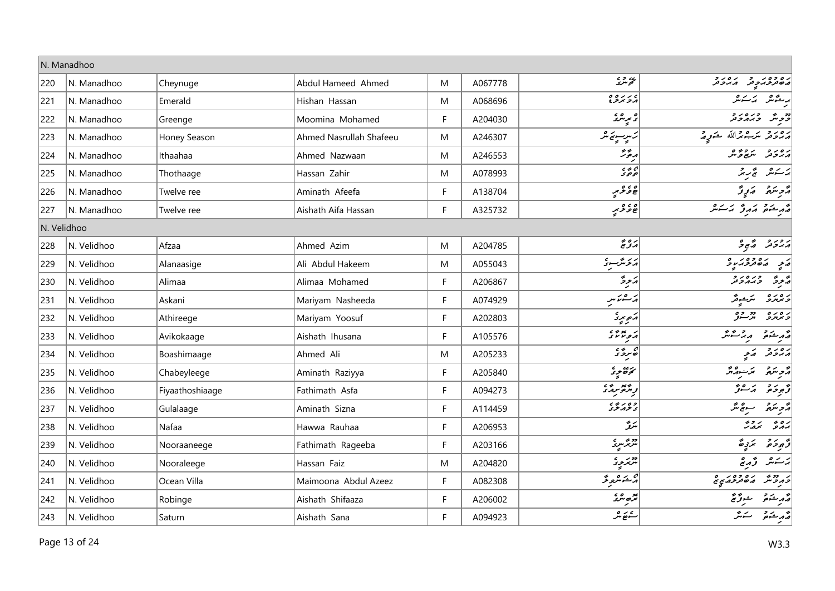|     | N. Manadhoo |                 |                         |    |         |                                                                 |                                                 |
|-----|-------------|-----------------|-------------------------|----|---------|-----------------------------------------------------------------|-------------------------------------------------|
| 220 | N. Manadhoo | Cheynuge        | Abdul Hameed Ahmed      | M  | A067778 | ي و ،<br>محمومبر                                                | גם כם גם גם גבת<br>גםתיבגבת גגבת                |
| 221 | N. Manadhoo | Emerald         | Hishan Hassan           | M  | A068696 | ، ر ر ه ه<br>د <del>د</del> برو ه                               | - مستشفر الكاشر<br>الرحقيق الكاشر               |
| 222 | N. Manadhoo | Greenge         | Moomina Mohamed         | F  | A204030 | ە<br>ئەسمەتىگە                                                  | ووند ورەرو                                      |
| 223 | N. Manadhoo | Honey Season    | Ahmed Nasrullah Shafeeu | M  | A246307 | ئەبىر سەئچ مىگە<br>ئە                                           | برەبر تر بر عمرالله څوړ چ                       |
| 224 | N. Manadhoo | Ithaahaa        | Ahmed Nazwaan           | M  | A246553 | $\overline{\mathcal{Z}_{\mathcal{S}\mathcal{A}}^{\mathcal{S}}}$ | رەرد بردەر                                      |
| 225 | N. Manadhoo | Thothaage       | Hassan Zahir            | M  | A078993 | ج ءِ ۽<br>حوم <sub>ک</sub>                                      | يُاسَدُ عَلَى مِرْسَرٌ                          |
| 226 | N. Manadhoo | Twelve ree      | Aminath Afeefa          | F  | A138704 | <br> ح و ژبې                                                    | أأدمني أأوقى                                    |
| 227 | N. Manadhoo | Twelve ree      | Aishath Aifa Hassan     | F  | A325732 | ص ح ح س<br>  ج حر حر س                                          |                                                 |
|     | N. Velidhoo |                 |                         |    |         |                                                                 |                                                 |
| 228 | N. Velidhoo | Afzaa           | Ahmed Azim              | M  | A204785 | ره پځ                                                           | درور گرم و                                      |
| 229 | N. Velidhoo | Alanaasige      | Ali Abdul Hakeem        | M  | A055043 | ىر ئەنگەسى <sup>ي</sup><br>م                                    | 2020 1020 24                                    |
| 230 | N. Velidhoo | Alimaa          | Alimaa Mohamed          | F  | A206867 | پرویژ                                                           | 21012 222                                       |
| 231 | N. Velidhoo | Askani          | Mariyam Nasheeda        | F  | A074929 | ارتقائير                                                        | رەرە سكىشەنگە                                   |
| 232 | N. Velidhoo | Athireege       | Mariyam Yoosuf          | F. | A202803 | وكمعروج                                                         |                                                 |
| 233 | N. Velidhoo | Avikokaage      | Aishath Ihusana         | F. | A105576 | بروپر                                                           | أقهر شؤة وبرعشر                                 |
| 234 | N. Velidhoo | Boashimaage     | Ahmed Ali               | M  | A205233 | ە بېرىنى<br>مەرىخ                                               | دەرد كەي                                        |
| 235 | N. Velidhoo | Chabeyleege     | Aminath Raziyya         | F. | A205840 | ری د ؟<br>کوه و د                                               | הכתים הביות                                     |
| 236 | N. Velidhoo | Fiyaathoshiaage | Fathimath Asfa          | F  | A094273 | و پڑ پیو پر پر پر                                               | توجدة ماستق                                     |
| 237 | N. Velidhoo | Gulalaage       | Aminath Sizna           | F  | A114459 | و ه بر پر پر<br>پر محرکو پر                                     | أأرمز سواه المسرهم يتكر                         |
| 238 | N. Velidhoo | Nafaa           | Hawwa Rauhaa            | F  | A206953 | ىترتمە                                                          |                                                 |
| 239 | N. Velidhoo | Nooraaneege     | Fathimath Rageeba       | F  | A203166 | دو پر<br>سر ټرسري                                               | وَّجِرْحَمْ يَحَدِّهِ مَّ                       |
| 240 | N. Velidhoo | Nooraleege      | Hassan Faiz             | M  | A204820 | ددر<br>مرټرمونه                                                 | يز کشش تۇرىج                                    |
| 241 | N. Velidhoo | Ocean Villa     | Maimoona Abdul Azeez    | F. | A082308 | ە ئەنە ئىر <sub>ىم</sub> ۇ                                      | בגבית גם בסיגם                                  |
| 242 | N. Velidhoo | Robinge         | Aishath Shifaaza        | F. | A206002 | پر صره ع                                                        | و د شور د به در د مینداند.<br>د د د د د د د د د |
| 243 | N. Velidhoo | Saturn          | Aishath Sana            | F. | A094923 | ے پر م                                                          | قەرشىقى سەنگە                                   |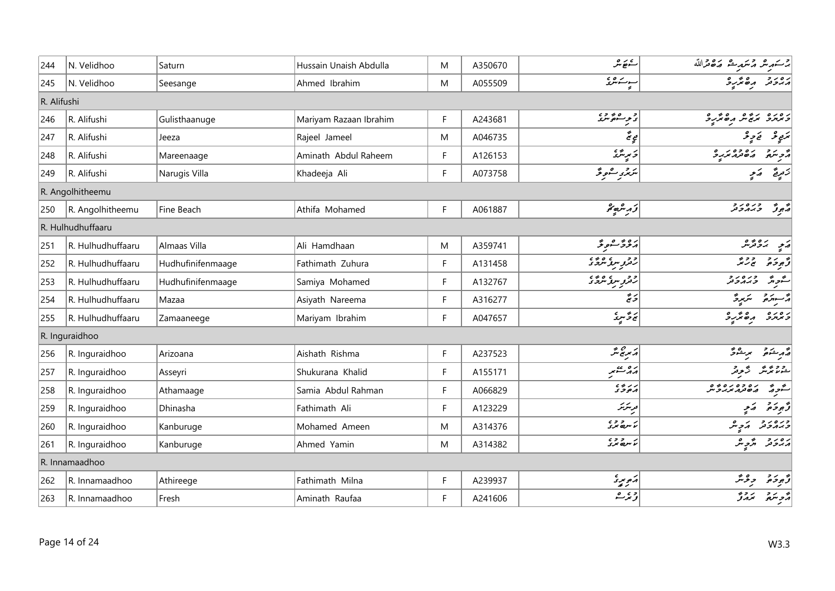| 244         | N. Velidhoo       | Saturn            | Hussain Unaish Abdulla | M           | A350670 | ع نو غور شر                                 | ج سكر مكر مكر من من من الله       |
|-------------|-------------------|-------------------|------------------------|-------------|---------|---------------------------------------------|-----------------------------------|
| 245         | N. Velidhoo       | Seesange          | Ahmed Ibrahim          | M           | A055509 | سەسەھرى                                     | גפנג השתייכ                       |
| R. Alifushi |                   |                   |                        |             |         |                                             |                                   |
| 246         | R. Alifushi       | Gulisthaanuge     | Mariyam Razaan Ibrahim | F           | A243681 | د په ده وره<br>د تور شوه سرد                |                                   |
| 247         | R. Alifushi       | Jeeza             | Rajeel Jameel          | M           | A046735 | قح تج                                       |                                   |
| 248         | R. Alifushi       | Mareenaage        | Aminath Abdul Raheem   | F           | A126153 | ىر پېرىترى<br>ئ                             |                                   |
| 249         | R. Alifushi       | Narugis Villa     | Khadeeja Ali           | F           | A073758 | ىئر <i>پرېمو</i> ئىشتى ئىش                  | رَمَدِيَّ أَرَمَ                  |
|             | R. Angolhitheemu  |                   |                        |             |         |                                             |                                   |
| 250         | R. Angolhitheemu  | Fine Beach        | Athifa Mohamed         | F           | A061887 | دَ مر شرحه محم                              | ه وره رو                          |
|             | R. Hulhudhuffaaru |                   |                        |             |         |                                             |                                   |
| 251         | R. Hulhudhuffaaru | Almaas Villa      | Ali Hamdhaan           | M           | A359741 | روۋىشوقە                                    | ر ده دوره<br>مو دومره             |
| 252         | R. Hulhudhuffaaru | Hudhufinifenmaage | Fathimath Zuhura       | F           | A131458 | 2 قرىر سرى مركزى<br>  2 قرىر سرى مركزى      |                                   |
| 253         | R. Hulhudhuffaaru | Hudhufinifenmaage | Samiya Mohamed         | F           | A132767 | <sup>32</sup> رىرىيە ئارەتتى<br>مەھرىرىدىكى |                                   |
| 254         | R. Hulhudhuffaaru | Mazaa             | Asiyath Nareema        | F           | A316277 | ترمج                                        |                                   |
| 255         | R. Hulhudhuffaaru | Zamaaneege        | Mariyam Ibrahim        | F           | A047657 | ئە ئەس <sub>ى</sub> رى<br>ئ                 | ومرده مصميرة                      |
|             | R. Inguraidhoo    |                   |                        |             |         |                                             |                                   |
| 256         | R. Inguraidhoo    | Arizoana          | Aishath Rishma         | F           | A237523 | ارىبرچىتر                                   |                                   |
| 257         | R. Inguraidhoo    | Asseyri           | Shukurana Khalid       | F           | A155171 | لرويهمر                                     |                                   |
| 258         | R. Inguraidhoo    | Athamaage         | Samia Abdul Rahman     | F           | A066829 | ر ر د »<br>پره <del>ر</del> د               |                                   |
| 259         | R. Inguraidhoo    | Dhinasha          | Fathimath Ali          | F           | A123229 | ىرىترىتر                                    | توجوحو المامي                     |
| 260         | R. Inguraidhoo    | Kanburuge         | Mohamed Ameen          | M           | A314376 | ر د د ه<br>ما سرچ بور                       |                                   |
| 261         | R. Inguraidhoo    | Kanburuge         | Ahmed Yamin            | M           | A314382 | ر د د د<br>ما سرچ بور                       | پرونز گرونگر                      |
|             | R. Innamaadhoo    |                   |                        |             |         |                                             |                                   |
| 262         | R. Innamaadhoo    | Athireege         | Fathimath Milna        | $\mathsf F$ | A239937 | در ه بر د<br>                               | ا تو بر در<br>ا<br>ە قىرىگە<br>سە |
| 263         | R. Innamaadhoo    | Fresh             | Aminath Raufaa         | F           | A241606 | د ، چه ه<br>نو مگر شه                       | و المحمد المعروفي المحمد          |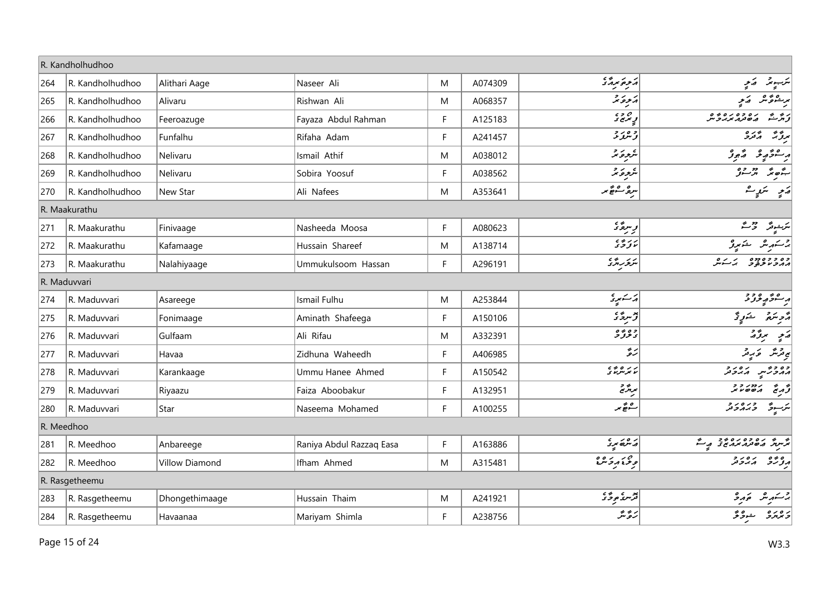|     | R. Kandholhudhoo |                       |                          |           |         |                                     |                                            |
|-----|------------------|-----------------------|--------------------------|-----------|---------|-------------------------------------|--------------------------------------------|
| 264 | R. Kandholhudhoo | Alithari Aage         | Naseer Ali               | M         | A074309 | أتزير ترژند                         | سَرَ-- پِرْ - رَمِي                        |
| 265 | R. Kandholhudhoo | Alivaru               | Rishwan Ali              | M         | A068357 | لرورو                               | برے وگر دیکھیے<br>مرت                      |
| 266 | R. Kandholhudhoo | Feeroazuge            | Fayaza Abdul Rahman      | F         | A125183 | د ۶ د ء<br>پي تريخ <sub>ک</sub>     | ره وه ره د ه<br>پره تربر تربر              |
| 267 | R. Kandholhudhoo | Funfalhu              | Rifaha Adam              | F         | A241457 | و چوکر تر<br>تو شر <sub>فر</sub> تر | ىرۇ ئە<br>پھوڑ<br>مرکزو                    |
| 268 | R. Kandholhudhoo | Nelivaru              | Ismail Athif             | M         | A038012 | يرموء تر                            | رەشتۇر ئۇ ھەر                              |
| 269 | R. Kandholhudhoo | Nelivaru              | Sobira Yoosuf            | F         | A038562 | يتزوكر                              | $\frac{1}{2}$<br>دو حره<br>مرسسو           |
| 270 | R. Kandholhudhoo | New Star              | Ali Nafees               | ${\sf M}$ | A353641 | ڛۄٛٮ۠ؽۄٞؠڔ                          | رَمِي سَمَدٍ ہے                            |
|     | R. Maakurathu    |                       |                          |           |         |                                     |                                            |
| 271 | R. Maakurathu    | Finivaage             | Nasheeda Moosa           | E         | A080623 | و سرچ <sup>ي</sup>                  | لىرىدىگە كۆڭ                               |
| 272 | R. Maakurathu    | Kafamaage             | Hussain Shareef          | M         | A138714 | ر ر » ،<br>ما توڅ د                 | چە سەر سىر سىسىر ئى                        |
| 273 | R. Maakurathu    | Nalahiyaage           | Ummukulsoom Hassan       | F.        | A296191 | ىر ئەرەپە<br>سرىۋىر بىرى            | دە د د دوه د در د ه<br>مەمرىرى د چې د مەشر |
|     | R. Maduvvari     |                       |                          |           |         |                                     |                                            |
| 274 | R. Maduvvari     | Asareege              | Ismail Fulhu             | M         | A253844 | ېر کے بیری<br>م                     |                                            |
| 275 | R. Maduvvari     | Fonimaage             | Aminath Shafeega         | F         | A150106 | بر<br>ترسرچ <sup>ی</sup>            |                                            |
| 276 | R. Maduvvari     | Gulfaam               | Ali Rifau                | M         | A332391 | وه ۶ ه<br>د نوتو تر                 |                                            |
| 277 | R. Maduvvari     | Havaa                 | Zidhuna Waheedh          | F         | A406985 | رُگ                                 | ى <sub>ج</sub> ىرىتر كەرلىر                |
| 278 | R. Maduvvari     | Karankaage            | Ummu Hanee Ahmed         | F         | A150542 | ر ره و د ،<br>ما موسورتا ی          | وه وي د مرد و<br>مهر <i>و ر</i> سي مربروتر |
| 279 | R. Maduvvari     | Riyaazu               | Faiza Aboobakur          | F         | A132951 | بروژنج                              |                                            |
| 280 | R. Maduvvari     | Star                  | Naseema Mohamed          | F         | A100255 | ە ئەھمىر                            | ترسوش ورەرو                                |
|     | R. Meedhoo       |                       |                          |           |         |                                     |                                            |
| 281 | R. Meedhoo       | Anbareege             | Raniya Abdul Razzaq Easa | F         | A163886 | ر ەر<br>ئەسھەم <sub>ۇ</sub> ر       | 2 10100000000000                           |
| 282 | R. Meedhoo       | <b>Villow Diamond</b> | Ifham Ahmed              | M         | A315481 | <sub>و</sub> د د کروه               | أبرومو برورد                               |
|     | R. Rasgetheemu   |                       |                          |           |         |                                     |                                            |
| 283 | R. Rasgetheemu   | Dhongethimaage        | Hussain Thaim            | M         | A241921 | بر<br>ترسر و و د ک                  |                                            |
| 284 | R. Rasgetheemu   | Havaanaa              | Mariyam Shimla           | F         | A238756 | ر پ <sub>چە</sub> پىر<br>رىق سر     |                                            |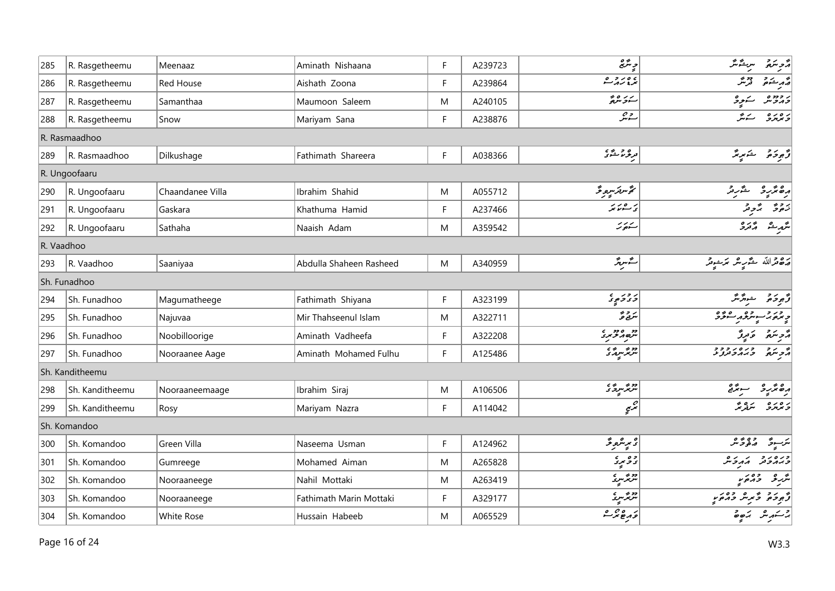| 285        | R. Rasgetheemu  | Meenaaz          | Aminath Nishaana        | F  | A239723 | جريثي                          | سرىشگىر<br>ك<br>أرمز مردمج                             |
|------------|-----------------|------------------|-------------------------|----|---------|--------------------------------|--------------------------------------------------------|
| 286        | R. Rasgetheemu  | <b>Red House</b> | Aishath Zoona           | F. | A239864 | ، ەر دە                        | و در در در در در در برگر<br>درگار مشوی در در           |
| 287        | R. Rasgetheemu  | Samanthaa        | Maumoon Saleem          | M  | A240105 | ىر ئەرەپ                       | $rac{1}{2}$                                            |
| 288        | R. Rasgetheemu  | Snow             | Mariyam Sana            | F. | A238876 | يەمىر                          | ره ره درگر                                             |
|            | R. Rasmaadhoo   |                  |                         |    |         |                                |                                                        |
| 289        | R. Rasmaadhoo   | Dilkushage       | Fathimath Shareera      | F  | A038366 | ىر 2 2 2 2 ك                   | ژوده خېر                                               |
|            | R. Ungoofaaru   |                  |                         |    |         |                                |                                                        |
| 290        | R. Ungoofaaru   | Chaandanee Villa | Ibrahim Shahid          | M  | A055712 | ى<br>ئۇستىر سوڭر               | وه تر و گردد<br>ده تر و گردد<br>زود گردد<br>شهر و گرده |
| 291        | R. Ungoofaaru   | Gaskara          | Khathuma Hamid          | F  | A237466 | ىر ھەيزىر                      |                                                        |
| 292        | R. Ungoofaaru   | Sathaha          | Naaish Adam             | M  | A359542 | سئەرىر                         |                                                        |
| R. Vaadhoo |                 |                  |                         |    |         |                                |                                                        |
| 293        | R. Vaadhoo      | Saaniyaa         | Abdulla Shaheen Rasheed | M  | A340959 | سەّسرد                         | رە داللە ھەر مەھ بىر                                   |
|            | Sh. Funadhoo    |                  |                         |    |         |                                |                                                        |
| 294        | Sh. Funadhoo    | Magumatheege     | Fathimath Shiyana       | F  | A323199 | ر ور<br>5 د د م <sub>و</sub> د |                                                        |
| 295        | Sh. Funadhoo    | Najuvaa          | Mir Thahseenul Islam    | M  | A322711 | ر و بر<br>سرچ ح                |                                                        |
| 296        | Sh. Funadhoo    | Noobilloorige    | Aminath Vadheefa        | F  | A322208 | חק במיק בי<br>תוסף במיק        | ו הקייות ואתור<br>הקייות ואתור<br>הקייות במהכתבת       |
| 297        | Sh. Funadhoo    | Nooraanee Aage   | Aminath Mohamed Fulhu   | F. | A125486 | دو پر سره د<br>سرچرسرچري       |                                                        |
|            | Sh. Kanditheemu |                  |                         |    |         |                                |                                                        |
| 298        | Sh. Kanditheemu | Nooraaneemaage   | Ibrahim Siraj           | M  | A106506 | ترپر سرچ <sup>ي</sup>          | ە ئەر ئەر ئەدەر ئەدەر<br>مەنبەر ئەرگىرى                |
| 299        | Sh. Kanditheemu | Rosy             | Mariyam Nazra           | F  | A114042 | جرمج                           | رەرە بەي <del>ر</del>                                  |
|            | Sh. Komandoo    |                  |                         |    |         |                                |                                                        |
| 300        | Sh. Komandoo    | Green Villa      | Naseema Usman           | F  | A124962 | ۇ بېرى <sub>نلى</sub> رۇ       | ىكرىپوقى مەھرقىلى                                      |
| 301        | Sh. Komandoo    | Gumreege         | Mohamed Aiman           | M  | A265828 | وه بردگی<br>د د پرد            | $rac{2}{\sqrt{2}}\sqrt{\frac{2}{2}}$                   |
| 302        | Sh. Komandoo    | Nooraaneege      | Nahil Mottaki           | M  | A263419 | دو پر<br>مربر س <sub>و</sub> ر | نژر ژومر<br>مرگ                                        |
| 303        | Sh. Komandoo    | Nooraaneege      | Fathimath Marin Mottaki | F  | A329177 | دوير<br>مربر سر                |                                                        |
| 304        | Sh. Komandoo    | White Rose       | Hussain Habeeb          | M  | A065529 | وروعيت                         | بر سکور مرکب بر کاری کے ایک می                         |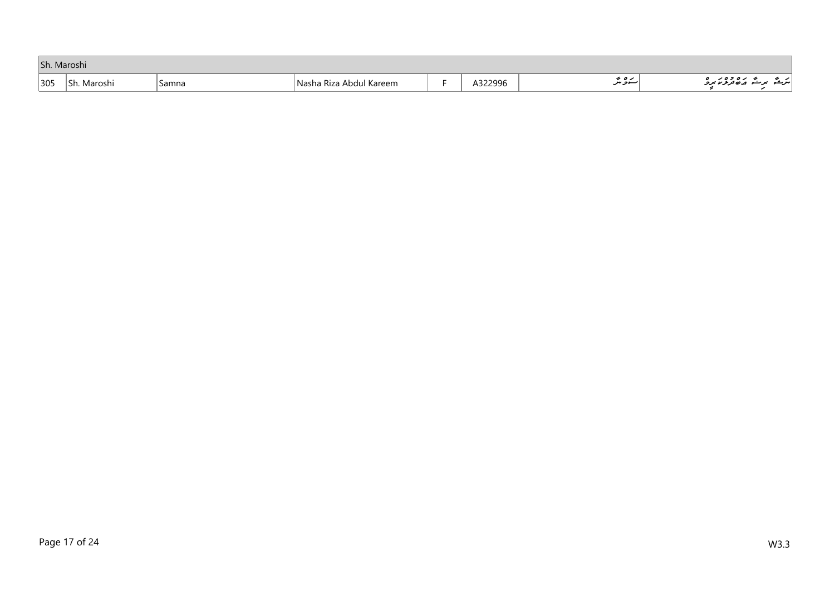| Sh. Maroshi |             |       |                         |  |         |         |                                   |
|-------------|-------------|-------|-------------------------|--|---------|---------|-----------------------------------|
| $ 305$      | Sh. Maroshi | Samna | Nasha Riza Abdul Kareem |  | A322996 | رىكە ئە | - 10201<br>  سرے مرے ملے مرد سر د |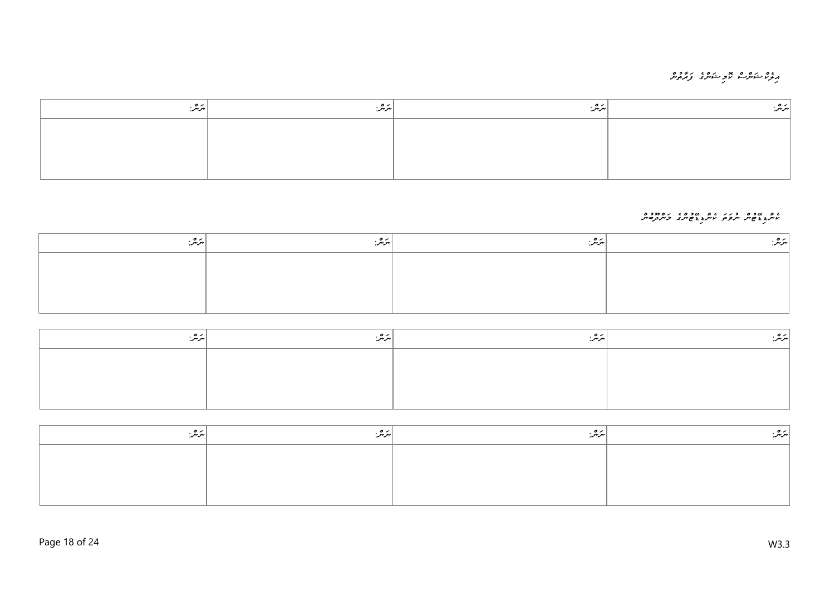## *w7qAn8m? sCw7mRo>u; wEw7mRw;sBo<*

| ' مرمر | 'يئرىثر: |
|--------|----------|
|        |          |
|        |          |
|        |          |

## *w7q9r@w7m> sCw7qHtFoFw7s; mAm=q7 w7qHtFoFw7s;*

| يئرمىش: | $^{\circ}$<br>. سر سر<br>$\cdot$ | $\circ$ $\sim$<br>-- | يئرمثر |
|---------|----------------------------------|----------------------|--------|
|         |                                  |                      |        |
|         |                                  |                      |        |
|         |                                  |                      |        |

| $\frac{2}{n}$ | $\overline{\phantom{a}}$ | اير هنه. | $\mathcal{O} \times$<br>سرسر |
|---------------|--------------------------|----------|------------------------------|
|               |                          |          |                              |
|               |                          |          |                              |
|               |                          |          |                              |

| ' ئىرتىر: | سر سر |  |
|-----------|-------|--|
|           |       |  |
|           |       |  |
|           |       |  |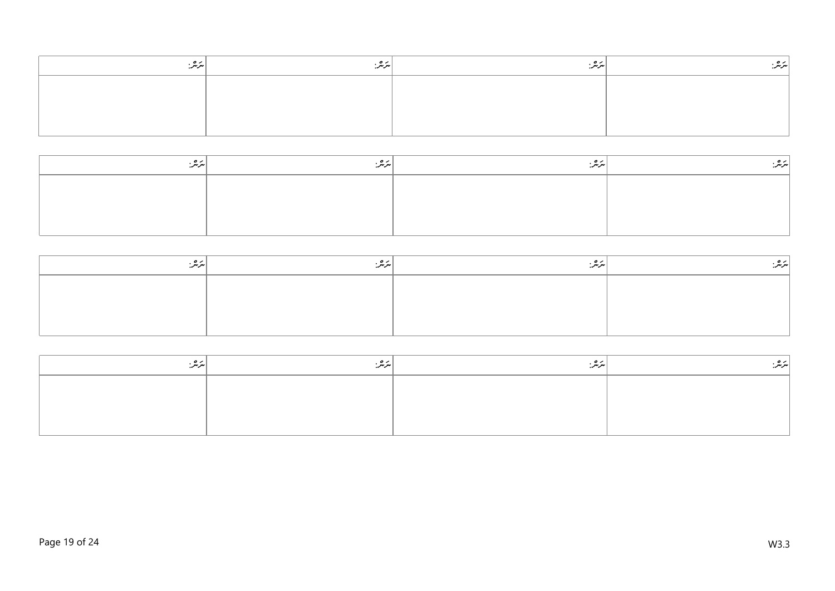| يزهر | $\mathcal{\mathcal{L}}$ | ىئرىتر: |  |
|------|-------------------------|---------|--|
|      |                         |         |  |
|      |                         |         |  |
|      |                         |         |  |

| متريثر به | 。<br>'سرسر'۔ | يتزيترا | سرسر |
|-----------|--------------|---------|------|
|           |              |         |      |
|           |              |         |      |
|           |              |         |      |

| ىئرىتر. | $\sim$ | ا بر هه. | لىرىش |
|---------|--------|----------|-------|
|         |        |          |       |
|         |        |          |       |
|         |        |          |       |

| $\overline{\phantom{a}}$<br>سرس. | ر ه<br>,,, | . . | 。<br>سرس. |
|----------------------------------|------------|-----|-----------|
|                                  |            |     |           |
|                                  |            |     |           |
|                                  |            |     |           |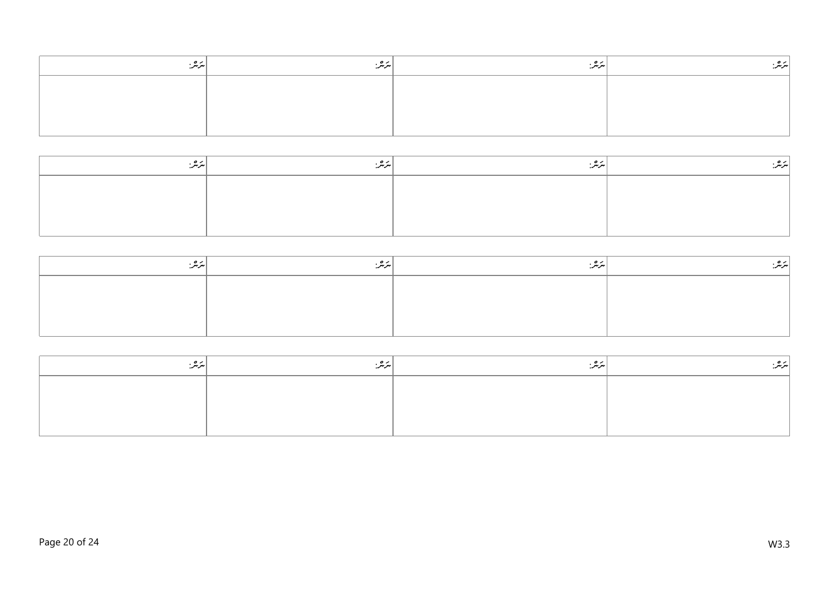| ير هو . | $\overline{\phantom{a}}$ | يرمر | اير هنه. |
|---------|--------------------------|------|----------|
|         |                          |      |          |
|         |                          |      |          |
|         |                          |      |          |

| ئىرتىر: | $\sim$<br>ا سرسر . | يئرمثر | o . |
|---------|--------------------|--------|-----|
|         |                    |        |     |
|         |                    |        |     |
|         |                    |        |     |

| 'تترنثر: | . .<br>يسمونس. |  |
|----------|----------------|--|
|          |                |  |
|          |                |  |
|          |                |  |

|  | . ه |
|--|-----|
|  |     |
|  |     |
|  |     |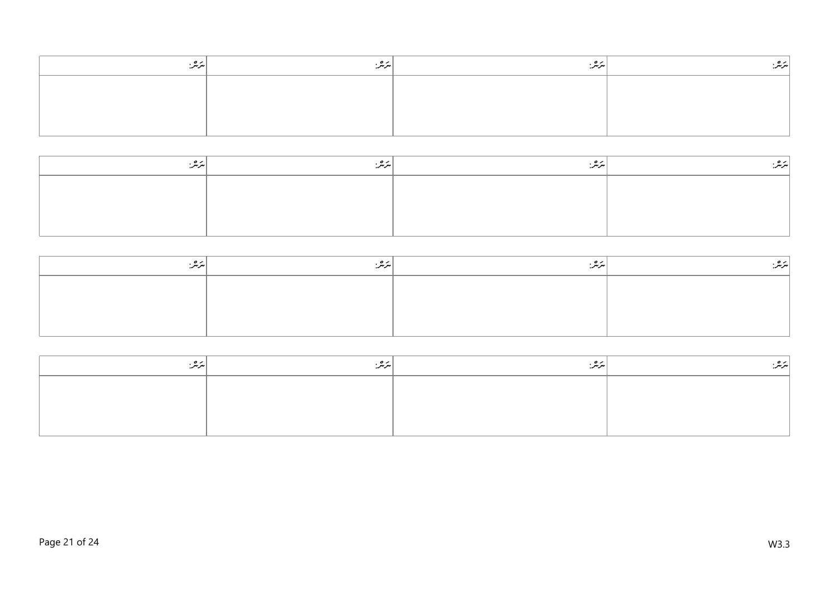| ير هو . | $\overline{\phantom{a}}$ | يرمر | اير هنه. |
|---------|--------------------------|------|----------|
|         |                          |      |          |
|         |                          |      |          |
|         |                          |      |          |

| ئىرتىر: | $\sim$<br>ا سرسر . | يئرمثر | o . |
|---------|--------------------|--------|-----|
|         |                    |        |     |
|         |                    |        |     |
|         |                    |        |     |

| الترنثر: | ' مرتكز: | الترنثر: | .,<br>سرسر. |
|----------|----------|----------|-------------|
|          |          |          |             |
|          |          |          |             |
|          |          |          |             |

|  | . ه |
|--|-----|
|  |     |
|  |     |
|  |     |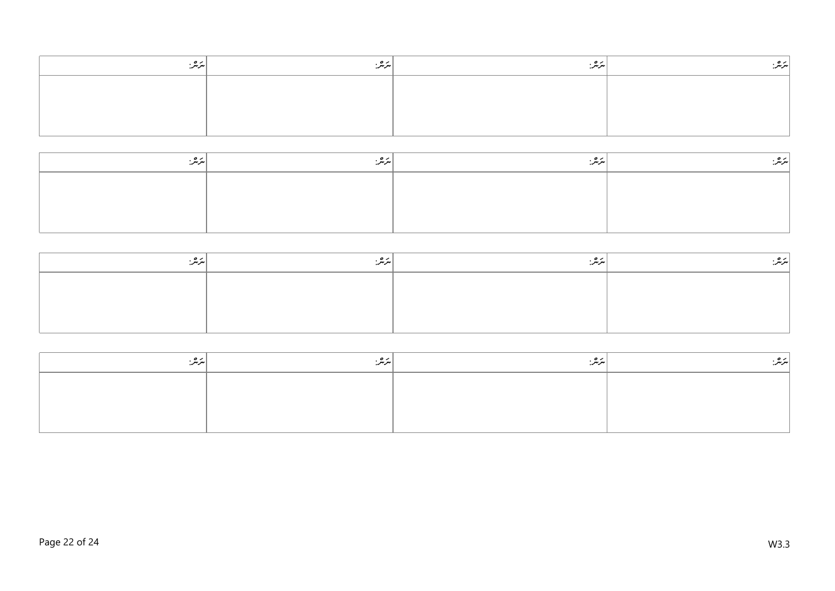| $\cdot$ | 。 | $\frac{\circ}{\cdot}$ | $\sim$<br>سرسر |
|---------|---|-----------------------|----------------|
|         |   |                       |                |
|         |   |                       |                |
|         |   |                       |                |

| يريثن | ' سرسر . |  |
|-------|----------|--|
|       |          |  |
|       |          |  |
|       |          |  |

| بر ه | . ه | $\sim$<br>سرسر |  |
|------|-----|----------------|--|
|      |     |                |  |
|      |     |                |  |
|      |     |                |  |

| 。<br>. س | ىرىىر |  |
|----------|-------|--|
|          |       |  |
|          |       |  |
|          |       |  |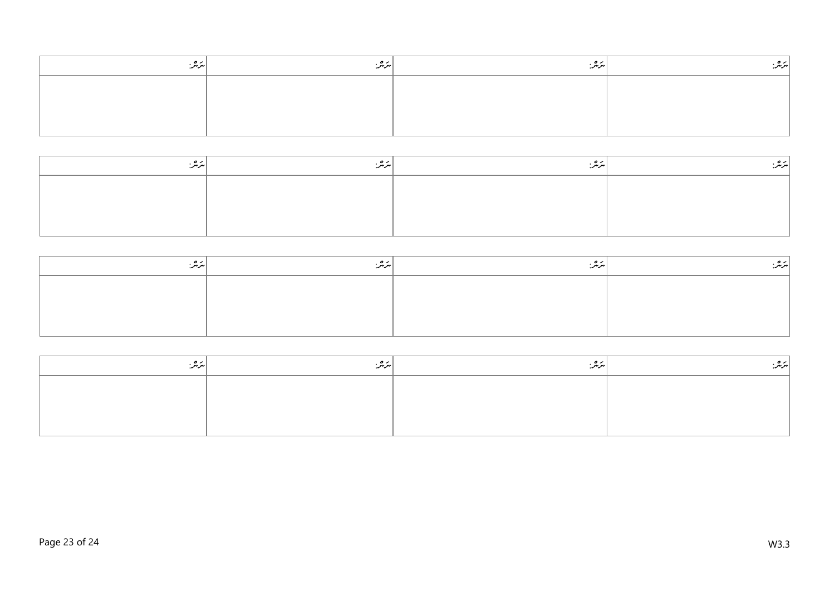| ير هو . | $\overline{\phantom{a}}$ | يرمر | اير هنه. |
|---------|--------------------------|------|----------|
|         |                          |      |          |
|         |                          |      |          |
|         |                          |      |          |

| ئىرتىر: | $\sim$<br>ا سرسر . | يئرمثر | o . |
|---------|--------------------|--------|-----|
|         |                    |        |     |
|         |                    |        |     |
|         |                    |        |     |

| 'تترنثر: | 。<br>,,,, |  |
|----------|-----------|--|
|          |           |  |
|          |           |  |
|          |           |  |

| 。 |  |  |
|---|--|--|
|   |  |  |
|   |  |  |
|   |  |  |